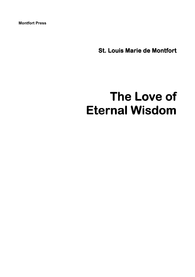**Montfort Press** 

**St. Louis Marie de Montfort** 

# **The Love of Eternal Wisdom Eternal Wisdom**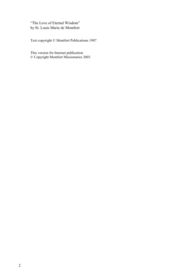"The Love of Eternal Wisdom" by St. Louis Marie de Montfort

Text copyright © Montfort Publications 1987

This version for Internet publication © Copyright Montfort Missionaries 2003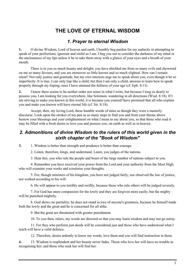# **THE LOVE OF ETERNAL WISDOM**

#### *1. Prayer to eternal Wisdom*

**1.** O divine Wisdom, Lord of heaven and earth, I humbly beg pardon for my audacity in attempting to speak of your perfections, ignorant and sinful as I am. I beg you not to consider the darkness of my mind or the uncleanness of my lips unless it be to take them away with a glance of your eyes and a breath of your mouth.

 There is in you so much beauty and delight; you have shielded me from so many evils and showered on me so many favours, and you are moreover so little known and so much slighted. How can I remain silent? Not only justice and gratitude, but my own interests urge me to speak about you, even though it be so imperfectly. It is true, I can only lisp like a child, but then I am only a child, anxious to learn how to speak properly through my lisping, once I have attained the fullness of your age (cf. Eph. 4:13).

**2.** I know there seems to be neither order nor sense in what I write, but because I long so dearly to possess you, I am looking for you everywhere, like Solomon, wandering in all directions (Wisd. 8:18). If I am striving to make you known in this world, it is because you yourself have promised that all who explain you and make you known will have eternal life (cf. Sir. 8:18).

 Accept, then, my loving Lord, these humble words of mine as though they were a masterly discourse. Look upon the strokes of my pen as so many steps to find you and from your throne above bestow your blessings and your enlightenment on what I mean to say about you, so that those who read it may be filled with a fresh desire to love you and possess you, on earth as well as in heaven.

#### *2. Admonitions of divine Wisdom to the rulers of this world given in the sixth chapter of the "Book of Wisdom"*

**3.** 1. Wisdom is better than strength and prudence is better than courage.

2. Listen, therefore, kings, and understand. Learn, you judges of the nations.

3. Hear this, you who rule the people and boast of the large number of nations subject to you.

 4. Remember you have received your power from the Lord and your authority from the Most High, who will examine your works and scrutinise your thoughts.

 5. For, though ministers of his kingdom, you have not judged fairly, nor observed the law of justice, nor walked according to his will.

6. He will appear to you terribly and swiftly, because those who rule others will be judged severely.

 7. For God has more compassion for the lowly and they are forgiven more easily, but the mighty will be punished mightily.

 8. God shows no partiality; he does not stand in awe of anyone's greatness, because he himself made both the lowly and the great and he is concerned for all alike.

9. But the great are threatened with greater punishment.

10. To you then, rulers, my words are directed so that you may learn wisdom and may not go astray.

 11. For they who perform just deeds will be considered just and those who have understood what I teach will have a valid defence.

12. Therefore, desire ardently to know my words, love them and you will find instruction in them.

**4.** 13. Wisdom is resplendent and her beauty never fades. Those who love her will have no trouble in recognising her; and those who seek her will find her.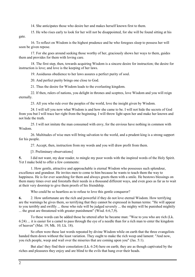14. She anticipates those who desire her and makes herself known first to them.

 15. He who rises early to look for her will not be disappointed, for she will be found sitting at his gate.

 16. To reflect on Wisdom is the highest prudence and he who foregoes sleep to possess her will soon be given repose.

 17. For she goes around seeking those worthy of her, graciously shows her ways to them, guides them and provides for them with loving care.

 18. The first step, then, towards acquiring Wisdom is a sincere desire for instruction; the desire for instruction is love; and love is the keeping of her laws.

19. Assiduous obedience to her laws assures a perfect purity of soul.

20. And perfect purity brings one close to God.

21. Thus the desire for Wisdom leads to the everlasting kingdom.

 22. If then, rulers of nations, you delight in thrones and sceptres, love Wisdom and you will reign eternally.

23. All you who rule over the peoples of the world, love the insight given by Wisdom.

 24. I will tell you now what Wisdom is and how she came to be. I will not hide the secrets of God from you but I will trace her right from the beginning. I will throw light upon her and make her known and not hide the truth.

 25. I will not imitate the man consumed with envy, for the envious have nothing in common with Wisdom.

 26. Multitudes of wise men will bring salvation to the world, and a prudent king is a strong support for his people.

27. Accept, then, instruction from my words and you will draw profit from them.

[3. Preliminary observations]

**5.** I did not want, my dear reader, to mingle my poor words with the inspired words of the Holy Spirit. Yet I make bold to offer a few comments:

 1. How gentle, attractive and approachable is eternal Wisdom who possesses such splendour, excellence and grandeur. He invites men to come to him because he wants to teach them the way to happiness. He is for ever searching for them and always greets them with a smile. He bestows blessings on them many times over and forestalls their needs in a thousand different ways, and even goes as far as to wait at their very doorstep to give them proofs of his friendship.

Who could be so heartless as to refuse to love this gentle conqueror?

**6.** 2. How unfortunate are the rich and powerful if they do not love eternal Wisdom. How terrifying are the warnings he gives them, so terrifying that they cannot be expressed in human terms: "He will appear to you terribly and swiftly ... those who rule will be judged severely ... the mighty will be punished mightily ... the great are threatened with greater punishment" (Wisd.  $6.6,7,9$ ).

 To these words can be added those he uttered after he became man: "Woe to you who are rich (Lk. 6:24) ... it is easier for a camel to pass through the eye of a needle than for a rich man to enter the kingdom of heaven" (Mat. 19; Mk. 10; Lk. 18).

 So often were these last words repeated by divine Wisdom while on earth that the three evangelists handed them down without the least variation. They ought to make the rich weep and lament: "And now, you rich people, weep and wail over the miseries that are coming upon you" (Jas. 5:1).

 But alas! they find their consolation (Lk. 6:24) here on earth; they are as though captivated by the riches and pleasures they enjoy and are blind to the evils that hang over their heads.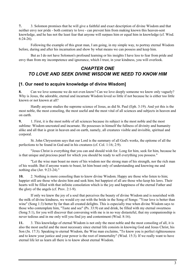**7.** 3. Solomon promises that he will give a faithful and exact description of divine Wisdom and that neither envy nor pride - both contrary to love - can prevent him from making known this heaven-sent knowledge, and he has not the least fear that anyone will surpass him or equal him in knowledge (cf. Wisd. 6:24-26).

 Following the example of this great man, I am going, in my simple way, to portray eternal Wisdom before, during and after his incarnation and show by what means we can possess and keep him.

 But as I do not have Solomon's profound learning or his insights I have less to fear from pride and envy than from my incompetence and ignorance, which I trust, in your kindness, you will overlook.

#### *CHAPTER ONE TO LOVE AND SEEK DIVINE WISDOM WE NEED TO KNOW HIM*

#### **[1. Our need to acquire knowledge of divine Wisdom]**

**8.** Can we love someone we do not even know? Can we love deeply someone we know only vaguely? Why is Jesus, the adorable, eternal and incarnate Wisdom loved so little if not because he is either too little known or not known at all?

 Hardly anyone studies the supreme science of Jesus, as did St. Paul (Eph. 3:19). And yet this is the most noble, the most consoling, the most useful and the most vital of all sciences and subjects in heaven and on earth.

**9.** 1. First, it is the most noble of all sciences because its subject is the most noble and the most sublime: Wisdom uncreated and incarnate. He possesses in himself the fullness of divinity and humanity alike and all that is great in heaven and on earth, namely, all creatures visible and invisible, spiritual and corporal.

 St. John Chrysostom says that our Lord is the summary of all God's works, the epitome of all the perfections to be found in God and in his creatures (cf. Col. 1:16; 2:9).

 "Jesus Christ is everything that you can and should wish for. Long for him, seek for him, because he is that unique and precious pearl for which you should be ready to sell everything you possess."

 "Let the wise man boast no more of his wisdom nor the strong man of his strength, nor the rich man of his wealth. But if anyone wants to boast, let him boast only of understanding and knowing me and nothing else (Jer. 9:23-24)."

**10.** 2. Nothing is more consoling than to know divine Wisdom. Happy are those who listen to him; happier still are those who desire him and seek him; but happiest of all are those who keep his laws. Their hearts will be filled with that infinite consolation which is the joy and happiness of the eternal Father and the glory of the angels (cf. Prov. 2:1-9).

 If only we knew the joy of a soul that perceives the beauty of divine Wisdom and is nourished with the milk of divine kindness, we would cry out with the bride in the Song of Songs: "Your love is better than wine" (Song 1:3) better by far than all created delights. This is especially true when divine Wisdom says to those who contemplate him, "Taste and see" (Ps. 33:9) eat and drink, be filled with my eternal sweetness (Song 5:1), for you will discover that conversing with me is in no way distasteful, that my companionship is never tedious and in me only will you find joy and contentment (Wisd. 8:16).

**11.** 3. This knowledge of eternal Wisdom is not only the most noble and the most consoling of all, it is also the most useful and the most necessary since eternal life consists in knowing God and Jesus Christ, his Son (Jn. 17:3). Speaking to eternal Wisdom, the Wise man exclaims, "To know you is perfect righteousness and to know your justice and your power is the root of immortality" (Wisd. 15:3). If we really want to have eternal life let us learn all there is to know about eternal Wisdom.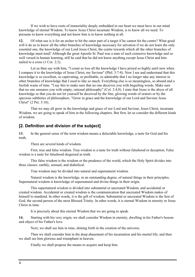If we wish to have roots of immortality deeply embedded in our heart we must have in our mind knowledge of eternal Wisdom. To know Jesus Christ incarnate Wisdom, is to know all we need. To presume to know everything and not know him is to know nothing at all.

**12.** Of what use is it for an archer to hit the outer part of a target if he cannot hit the centre? What good will it do us to know all the other branches of knowledge necessary for salvation if we do not learn the only essential one, the knowledge of our Lord Jesus Christ, the centre towards which all the other branches of knowledge must tend? Although the great Apostle St. Paul was a man of such extensive knowledge and so well versed in human learning, still he said that he did not know anything except Jesus Christ and him nailed to a cross (1 Cor. 2:2).

 Let us then say with him, "I count as loss all the knowledge I have prized so highly until now when I compare it to the knowledge of Jesus Christ, my Saviour" (Phil. 3:7-8). Now I see and understand that this knowledge is so excellent, so captivating, so profitable, so admirable that I no longer take any interest in other branches of knowledge that I used to like so much. Everything else is so meaningless, so absurd and a foolish waste of time. "I say this to make sure that no one deceives you with beguiling words. Make sure that no one ensnares you with empty, rational philosophy" (Col. 2:4,8). I state that Jesus is the abyss of all knowledge so that you do not let yourself be deceived by the fine, glowing words of orators or by the specious subtleties of philosophers. "Grow in grace and the knowledge of our Lord and Saviour Jesus Christ" (2 Pet. 3:18).

 That we may all grow in the knowledge and grace of our Lord and Saviour, Jesus Christ, incarnate Wisdom, we are going to speak of him in the following chapters. But first, let us consider the different kinds of wisdom.

#### **[2. Definition and division of the subject]**

**13.** In the general sense of the term wisdom means a delectable knowledge, a taste for God and his truth.

There are several kinds of wisdom.

 First, true and false wisdom. True wisdom is a taste for truth without falsehood or deception. False wisdom is a taste for falsehood disguised as truth.

 This false wisdom is the wisdom or the prudence of the world, which the Holy Spirit divides into three classes: earthly, sensual, and diabolical.

True wisdom may be divided into natural and supernatural wisdom.

 Natural wisdom is the knowledge, in an outstanding degree, of natural things in their principles. Supernatural wisdom is knowledge of supernatural and divine things in their origin.

 This supernatural wisdom is divided into substantial or uncreated Wisdom, and accidental or created wisdom. Accidental or created wisdom is the communication that uncreated Wisdom makes of himself to mankind. In other words, it is the gift of wisdom. Substantial or uncreated Wisdom is the Son of God, the second person of the most Blessed Trinity. In other words, it is eternal Wisdom in eternity or Jesus Christ in time.

It is precisely about this eternal Wisdom that we are going to speak.

**14.** Starting with his very origin, we shall consider Wisdom in eternity, dwelling in his Father's bosom and object of his Father's love.

Next, we shall see him in time, shining forth in the creation of the universe.

 Then we shall consider him in the deep abasement of his incarnation and his mortal life; and then we shall see him glorious and triumphant in heaven.

Finally we shall propose the means to acquire and keep him.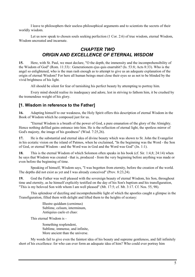I leave to philosophers their useless philosophical arguments and to scientists the secrets of their worldly wisdom.

 Let us now speak to chosen souls seeking perfection (1 Cor. 2:6) of true wisdom, eternal Wisdom, Wisdom uncreated and incarnate.

## *CHAPTER TWO ORIGIN AND EXCELLENCE OF ETERNAL WISDOM*

**15.** Here, with St. Paul, we must declare, "O the depth, the immensity and the incomprehensibility of the Wisdom of God" (Rom. 11:33) : Generationem ejus quis enarrabit? (Is. 53:8; Acts 8:33). Who is the angel so enlightened, who is the man rash enough as to attempt to give us an adequate explanation of the origin of eternal Wisdom? For here all human beings must close their eyes so as not to be blinded by the vivid brightness of his light.

All should be silent for fear of tarnishing his perfect beauty by attempting to portray him.

 Every mind should realise its inadequacy and adore, lest in striving to fathom him, it be crushed by the tremendous weight of his glory.

#### **[1. Wisdom in reference to the Father]**

**16.** Adapting himself to our weakness, the Holy Spirit offers this description of eternal Wisdom in the Book of Wisdom which he composed just for us.

 "Eternal Wisdom is a breath of the power of God, a pure emanation of the glory of the Almighty. Hence nothing defiled gains entrance into him. He is the reflection of eternal light, the spotless mirror of God's majesty, the image of his goodness" (Wisd. 7:25,26).

**17.** He is the substantial and eternal idea of divine beauty which was shown to St. John the Evangelist in his ecstatic vision on the island of Patmos, when he exclaimed, "In the beginning was the Word - the Son of God, or eternal Wisdom - and the Word was in God and the Word was God" (Jn. 1:1).

**18.** This is the eternal Wisdom of which Solomon often speaks in his book (cf. Sir. 1:4,8; 24:14) when he says that Wisdom was created - that is, produced - from the very beginning before anything was made or even before the beginning of time.

 Speaking of himself, Wisdom says, "I was begotten from eternity, before the creation of the world. The depths did not exist as yet and I was already conceived" (Prov. 8:23,24).

**19.** God the Father was well pleased with the sovereign beauty of eternal Wisdom, his Son, throughout time and eternity, as he himself explicitly testified on the day of his Son's baptism and his transfiguration, "This is my beloved Son with whom I am well pleased" (Mt. 17:5; cf. Mt. 3:17. Cf. Nos. 55, 98).

 This splendour of dazzling and incomprehensible light of which the apostles caught a glimpse in the Transfiguration, filled them with delight and lifted them to the heights of ecstasy:

> Illustre quiddam (cernimus) Sublime, celsum, interminum, Antiquius caelo et chao:

This eternal Wisdom is -

Something resplendent, Sublime, immense, and infinite, More ancient than the universe.

 My words fail to give even the faintest idea of his beauty and supreme gentleness, and fall infinitely short of his excellence: for who can ever form an adequate idea of him? Who could ever portray him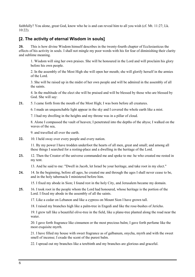faithfully? You alone, great God, know who he is and can reveal him to all you wish (cf. Mt. 11:27; Lk. 10:22).

#### **[2. The activity of eternal Wisdom in souls]**

**20.** This is how divine Wisdom himself describes in the twenty-fourth chapter of Ecclesiasticus the effects of his activity in souls. I shall not mingle my poor words with his for fear of diminishing their clarity and sublime meaning.

1. Wisdom will sing her own praises. She will be honoured in the Lord and will proclaim his glory before his own people.

2. In the assembly of the Most High she will open her mouth; she will glorify herself in the armies of the Lord.

3. She will be raised up in the midst of her own people and will be admired in the assembly of all the saints.

4. In the multitude of the elect she will be praised and will be blessed by those who are blessed by God. She will say:

**21.** 5. I came forth from the mouth of the Most High; I was born before all creatures.

6. I made an unquenchable light appear in the sky and I covered the whole earth like a mist.

7. I had my dwelling in the heights and my throne was in a pillar of cloud.

8. Alone I compassed the vault of heaven; I penetrated into the depths of the abyss; I walked on the waves of the sea,

9. and travelled all over the earth.

**22.** 10. I held sway over every people and every nation.

11. By my power I have trodden underfoot the hearts of all men, great and small; and among all these things I searched for a resting-place and a dwelling in the heritage of the Lord.

**23.** 12. Then the Creator of the universe commanded me and spoke to me: he who created me rested in my tent.

13. And he said to me: "Dwell in Jacob, let Israel be your heritage, and take root in my elect."

**24.** 14. In the beginning, before all ages, he created me and through the ages I shall never cease to be, and in the holy tabernacle I ministered before him.

15. I fixed my abode in Sion; I found rest in the holy City, and Jerusalem became my domain.

**25.** 16. I took root in the people whom the Lord had honoured, whose heritage is the portion of the Lord. I fixed my abode in the assembly of all the saints.

17. Like a cedar on Lebanon and like a cypress on Mount Sion I have grown tall.

18. I raised my branches high like a palm-tree in Engedi and like the rose-bushes of Jericho.

19. I grew tall like a beautiful olive-tree in the field, like a plane-tree planted along the road near the water.

20. I gave forth fragrance like cinnamon or the most precious balm; I gave forth perfume like the most exquisite myrrh.

21. I have filled my house with sweet fragrance as of galbanum, onycha, myrrh and with the sweet smell of incense; I exude the scent of the purest balm.

22. I spread out my branches like a terebinth and my branches are glorious and graceful.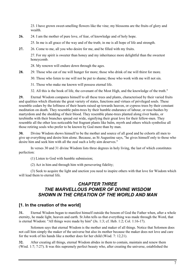23. I have grown sweet-smelling flowers like the vine; my blossoms are the fruits of glory and wealth.

**26.** 24. I am the mother of pure love, of fear, of knowledge and of holy hope.

25. In me is all grace of the way and of the truth; in me is all hope of life and strength.

**27.** 26. Come to me, all you who desire for me, and be filled with my fruits.

27. For my spirit is sweeter than honey and my inheritance more delightful than the sweetest honeycomb.

- 28. My renown will endure down through the ages.
- **28.** 29. Those who eat of me will hunger for more; those who drink of me will thirst for more.
	- 30. Those who listen to me will not be put to shame; those who work with me will not sin.
	- 31. Those who make me known will possess eternal life.
	- 32. All this is the book of life, the covenant of the Most High, and the knowledge of the truth."

**29.** Eternal Wisdom compares himself to all these trees and plants, characterised by their varied fruits and qualities which illustrate the great variety of states, functions and virtues of privileged souls. These resemble cedars by the loftiness of their hearts raised up towards heaven, or cypress trees by their constant meditation on death. They resemble palm-trees by their humble endurance of labour, or rose-bushes by martyrdom and the shedding of their blood. They resemble plane-trees planted along river banks, or terebinths with their branches spread out wide, signifying their great love for their fellow-men. They resemble all the other less noticeable but fragrant plants like balm, myrrh and others which symbolise all those retiring souls who prefer to be known by God more than by man.

**30.** Divine Wisdom shows himself to be the mother and source of all good and he exhorts all men to give up everything and desire him alone. Because, as St Augustine says, "he gives himself only to those who desire him and seek him with all the zeal such a lofty aim deserves."

 In verses 30 and 31 divine Wisdom lists three degrees in holy living, the last of which constitutes perfection:

(1) Listen to God with humble submission;

(2) Act in him and through him with persevering fidelity;

 (3) Seek to acquire the light and unction you need to inspire others with that love for Wisdom which will lead them to eternal life.

## *CHAPTER THREE THE MARVELLOUS POWER OF DIVINE WISDOM SHOWN IN THE CREATION OF THE WORLD AND MAN*

#### **[1. In the creation of the world]**

**31.** Eternal Wisdom began to manifest himself outside the bosom of God the Father when, after a whole eternity, he made light, heaven and earth. St John tells us that everything was made through the Word, that is eternal Wisdom: "All things were made by him" (Jn. 1:3; cf. Heb. 1:2; Col. 1:16-17).

 Solomon says that eternal Wisdom is the mother and maker of all things. Notice that Solomon does not call him simply the maker of the universe but also its mother because the maker does not love and care for the work of his hands like a mother does for her child (Wisd. 7: 12,21).

**32.** After creating all things, eternal Wisdom abides in them to contain, maintain and renew them (Wisd. 1:7; 7:27). It was this supremely perfect beauty who, after creating the universe, established the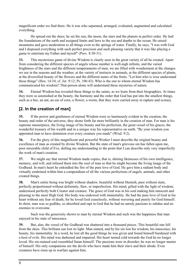magnificent order we find there. He it was who separated, arranged, evaluated, augmented and calculated everything.

 He spread out the skies; he set the sun, the moon, the stars and the planets in perfect order. He laid the foundations of the earth and assigned limits and laws to the sea and depths to the ocean. He raised mountains and gave moderation to all things even to the springs of water. Finally, he says, "I was with God and I disposed everything with such perfect precision and such pleasing variety that it was like playing a game to entertain my Father and myself" (Prov. 8:30-31).

**33.** This mysterious game of divine Wisdom is clearly seen in the great variety of all he created. Apart from considering the different species of angels whose number is well-nigh infinite, and the varied brightness of the stars and the different temperaments of men, we are filled with wonderment at the changes we see in the seasons and the weather, at the variety of instincts in animals, at the different species of plants, at the diversified beauty of the flowers and the different tastes of the fruits. "Let him who is wise understand these things" (Hos. 14:10; cf. Jer. 9:12; Ps. 106:43). Who is the one to whom eternal Wisdom has communicated his wisdom? That person alone will understand these mysteries of nature.

**34.** Eternal Wisdom has revealed these things to the saints, as we learn from their biographies. At times they were so astonished at the beauty, the harmony and the order that God has put into the smallest things, such as a bee, an ant, an ear of corn, a flower, a worm, that they were carried away in rapture and ecstasy.

## **[2. In the creation of man]**

**35.** If the power and gentleness of eternal Wisdom were so luminously evident in the creation, the beauty and order of the universe, they shone forth far more brilliantly in the creation of man. For man is his supreme masterpiece, the living image of his beauty and his perfection, the great vessel of his graces, the wonderful treasury of his wealth and in a unique way his representative on earth. "By your wisdom you appointed man to have dominion over every creature you made" (Wisd. 9:2).

**36.** For the glory of this magnificent and powerful Worker I must describe the original beauty and excellence of man as created by divine Wisdom. But the state of man's grievous sin has fallen upon me, poor miserable child of Eve, dulling my understanding to the point that I can describe only very imperfectly the work of man's creation.

**37.** We might say that eternal Wisdom made copies, that is, shining likenesses of his own intelligence, memory, and will, and infused them into the soul of man so that he might become the living image of the Godhead. In man's heart he enkindled the fire of the pure love of God. He gave him a radiant body and virtually enshrined within him a compendium of all the various perfections of angels, animals, and other created things.

**38.** Man's entire being was bright without shadow, beautiful without blemish, pure without stain, perfectly proportioned without deformity, flaw, or imperfection. His mind, gifted with the light of wisdom, understood perfectly both Creator and creature. The grace of God was in his soul making him innocent and pleasing to the most High God. His body was endowed with immortality. He had the pure love of God in his heart without any fear of death, for he loved God ceaselessly, without wavering and purely for God himself. In short, man was so godlike, so absorbed and rapt in God that he had no unruly passions to subdue and no enemies to overcome.

 Such was the generosity shown to man by eternal Wisdom and such was the happiness that man enjoyed in his state of innocence.

**39.** But, alas, the vessel of the Godhead was shattered into a thousand pieces. This beautiful star fell from the skies. This brilliant sun lost its light. Man sinned, and by his sin lost his wisdom, his innocence, his beauty, his immortality. In a word, he lost all the good things he was given and found himself burdened with a host of evils. His mind was darkened and impaired. His heart turned cold towards the God he no longer loved. His sin-stained soul resembled Satan himself. The passions were in disorder; he was no longer master of himself. His only companions are the devils who have made him their slave and their abode. Even creatures have risen up in warfare against him.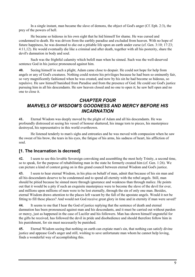In a single instant, man became the slave of demons, the object of God's anger (Cf. Eph. 2:3), the prey of the powers of hell.

 He became so hideous in his own sight that he hid himself for shame. He was cursed and condemned to death. He was driven from the earthly paradise and excluded from heaven. With no hope of future happiness, he was doomed to eke out a pitiable life upon an earth under curse (cf. Gen. 3:10; 17:23; 4:11,12). He would eventually die like a criminal and after death, together with all his posterity, share the devil's damnation in body and soul.

 Such was the frightful calamity which befell man when he sinned. Such was the well-deserved sentence God in his justice pronounced against him.

**40.** Seeing himself in such a plight, Adam came close to despair. He could not hope for help from angels or any of God's creatures. Nothing could restore his privileges because he had been so eminently fair, so very magnificently fashioned when he was created, and now by his sin he had become so hideous, so repulsive. He saw himself banished from Paradise and from the presence of God. He could see God's justice pursuing him in all his descendants. He saw heaven closed and no one to open it; he saw hell open and no one to close it.

## *CHAPTER FOUR MARVELS OF WISDOM'S GOODNESS AND MERCY BEFORE HIS INCARNATION*

**41.** Eternal Wisdom was deeply moved by the plight of Adam and all his descendants. He was profoundly distressed at seeing his vessel of honour shattered, his image torn to pieces, his masterpiece destroyed, his representative in this world overthrown.

 He listened tenderly to man's sighs and entreaties and he was moved with compassion when he saw the sweat of his brow, the tears in his eyes, the fatigue of his arms, his sadness of heart, his affliction of soul.

#### **[1. The Incarnation is decreed]**

**42.** I seem to see this lovable Sovereign convoking and assembling the most holy Trinity, a second time, so to speak, for the purpose of rehabilitating man in the state he formerly created him (cf. Gen. 1:26). We can picture a kind of contest going on in this grand council between eternal Wisdom and God's justice.

**43.** I seem to hear eternal Wisdom, in his plea on behalf of man, admit that because of his sin man and all his descendants deserve to be condemned and to spend all eternity with the rebel angels. Still, man should be pitied because he sinned more through ignorance and weakness than through malice. He points out that it would be a pity if such an exquisite masterpiece were to become the slave of the devil for ever, and millions upon millions of men were to be lost eternally, through the sin of only one man. Besides, eternal Wisdom draws attention to the places left vacant by the fall of the apostate angels. Would it not be fitting to fill these places? And would not God receive great glory in time and in eternity if man were saved?

**44.** It seems to me that I hear the God of justice replying that the sentence of death and eternal damnation has been pronounced against man and his descendants, and it must be carried out without pardon or mercy, just as happened in the case of Lucifer and his followers. Man has shown himself ungrateful for the gifts he received, has followed the devil in pride and disobedience and should therefore follow him in his punishment, for sin must necessarily be punished.

**45.** Eternal Wisdom seeing that nothing on earth can expiate man's sin, that nothing can satisfy divine justice and appease God's anger and still, wishing to save unfortunate man whom he cannot help loving, finds a wonderful way of accomplishing this.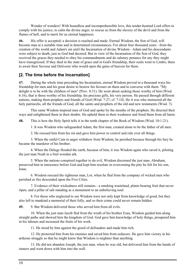Wonder of wonders! With boundless and incomprehensible love, this tender-hearted Lord offers to comply with his justice, to calm the divine anger, to rescue us from the slavery of the devil and from the flames of hell, and to merit for us eternal happiness.

**46.** His offer is accepted; a decision is reached and made. Eternal Wisdom, the Son of God, will become man at a suitable time and in determined circumstances. For about four thousand years - from the creation of the world and Adam's sin until the Incarnation of divine Wisdom - Adam and his descendants were subject to death, just as God had decreed. But in view of the Incarnation of the Son of God, they received the graces they needed to obey his commandments and do salutary penance for any they might have transgressed. If they died in the state of grace and in God's friendship, their souls went to Limbo, there to await their Saviour and Deliverer who would open the gates of heaven for them.

## **[2. The time before the Incarnation]**

**47.** During the whole time preceding his Incarnation, eternal Wisdom proved in a thousand ways his friendship for men and his great desire to bestow his favours on them and to converse with them. "My delight is to be with the children of men" (Prov. 8:31). He went about seeking those worthy of him (Wisd. 6:16), that is those worthy of his friendship, his precious gifts, his very person. He passed through different nations, making them prophets and friends of God (Wisd. 7:27; cf. 7:14). He it was who instructed all the holy patriarchs, all the friends of God, all the saints and prophets of the old and new testaments (Wisd. 7).

 This same Wisdom inspired men of God and spoke by the mouths of the prophets. He directed their ways and enlightened them in their doubts. He upheld them in their weakness and freed them from all harm.

**48.** This is how the Holy Spirit tells it in the tenth chapter of the Book of Wisdom (Wisd. 10:1-21).

1. It was Wisdom who safeguarded Adam, the first man, created alone to be the father of all men.

2. He rescued him from his sin and gave him power to control and rule over all things.

 3. When the sinful Cain in anger withdrew from Wisdom, he perished because through his fury he became the murderer of his brother.

 4. When the Deluge flooded the earth, because of him, it was Wisdom again who saved it, piloting the just man Noah in a frail wooden ark.

 5. When the nations conspired together to do evil, Wisdom discerned the just man, Abraham, preserved him in innocence before God and kept him resolute in overcoming the pity he felt for his son, Isaac.

 6. Wisdom rescued the righteous man, Lot, when he fled from the company of wicked men who perished as fire descended upon the Five Cities.

 7. Evidence of their wickedness still remains - a smoking wasteland, plants bearing fruit that never ripen, and a pillar of salt standing as a monument to an unbelieving soul.

 8. For those who neglected to see Wisdom were not only kept from knowledge of good, but they also left to mankind a memorial of their folly, and so their crime could never remain hidden.

**49.** 9. But Wisdom delivered those who served him from all evils.

 10. When the just man Jacob fled from the wrath of his brother Esau, Wisdom guided him along straight paths and showed him the kingdom of God. God gave him knowledge of holy things, prospered him in his labours and increased the fruits of his work.

11. He stood by him against the greed of defrauders and made him rich.

 12. He protected him from his enemies and saved him from seducers. He gave him victory in his arduous struggle so that he might know that Wisdom is mightier than anything.

 13. He did not abandon Joseph, the just man, when he was old, but delivered him from the hands of sinners and went down with him into the well.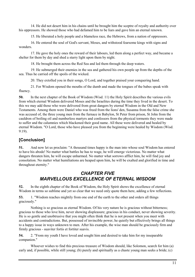14. He did not desert him in his chains until he brought him the sceptre of royalty and authority over his oppressors. He showed those who had defamed him to be liars and gave him an eternal renown.

15. He liberated a holy people and a blameless race, the Hebrews, from a nation of oppressors.

 16. He entered the soul of God's servant, Moses, and withstood fearsome kings with signs and wonders.

 17. He gave the holy ones the reward of their labours, led them along a perfect way, and became a shelter for them by day and shed a starry light upon them by night.

18. He brought them across the Red Sea and led them through the deep waters.

 19. He submerged their enemies in the sea and gathered his own people up from the depths of the sea. Thus he carried off the spoils of the wicked.

20. They extolled you in their songs, O Lord, and together praised your conquering hand.

 21. For Wisdom opened the mouths of the dumb and made the tongues of the babes speak with fluency.

**50.** In the next chapter of the Book of Wisdom (Wisd. 11) the Holy Spirit describes the various evils from which eternal Wisdom delivered Moses and the Israelites during the time they lived in the desert. To this we may add those who were delivered from great dangers by eternal Wisdom in the Old and New Testaments. Among them were Daniel who was freed from the lions' den, Susanna from the false crime she was accused of, the three young men from the furnace in Babylon, St Peter from prison, St John from the cauldron of boiling oil and numberless martyrs and confessors from the physical torments they were made to suffer and the calumnies which blackened their good name. All these were delivered and healed by eternal Wisdom. "O Lord, those who have pleased you from the beginning were healed by Wisdom (Wisd. 9:19).

## **[Conclusion]**

**51.** And now let us proclaim: "A thousand times happy is the man into whose soul Wisdom has entered to have his abode! No matter what battles he has to wage, he will emerge victorious. No matter what dangers threaten him, he will escape unharmed. No matter what sorrows afflict him, he will find joy and consolation. No matter what humiliations are heaped upon him, he will be exalted and glorified in time and throughout eternity."

## *CHAPTER FIVE MARVELLOUS EXCELLENCE OF ETERNAL WISDOM*

**52.** In the eighth chapter of the Book of Wisdom, the Holy Spirit shows the excellence of eternal Wisdom in terms so sublime and yet so clear that we need only quote them here, adding a few reflections.

**53.** 1. "Wisdom reaches mightily from one end of the earth to the other and orders all things graciously."

 Nothing is so gracious as eternal Wisdom. Of his very nature he is gracious without bitterness; gracious to those who love him, never showing displeasure; gracious in his conduct, never showing severity. He is so gentle and unobtrusive that you might often think that he is not present when you meet with accidents and contradictions. But, possessed of invincible power, he quietly but effectively brings all things to a happy issue in ways unknown to men. After his example, the wise man should be graciously firm and firmly gracious - suaviter fortis et fortiter suavis.

**54.** 2. "From my youth I have loved and sought him and desired to take him for my inseparable companion."

 Whoever wishes to find this precious treasure of Wisdom should, like Solomon, search for him (a) early and, if possible, while still young; (b) purely and spiritually as a chaste young man seeks a bride; (c)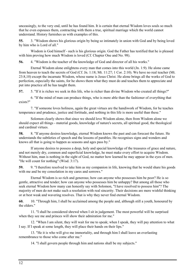unceasingly, to the very end, until he has found him. It is certain that eternal Wisdom loves souls so much that he even espouses them, contracting with them a true, spiritual marriage which the world cannot understand. History furnishes us with examples of this.

**55.** 3. "Wisdom shows his glorious origin by being so intimately in union with God and by being loved by him who is Lord of all."

 Wisdom is God himself - such is his glorious origin. God the Father has testified that he is pleased with him proving how much Wisdom is loved (Cf. Chapter One and No. 98).

**56.** 4. "Wisdom is the teacher of the knowledge of God and director of all his works."

 Eternal Wisdom alone enlightens every man that comes into this world (Jn. 1:9). He alone came from heaven to teach the secrets of God (Cf. Jn. 1:18; Mt. 11:27; 1 Cor. 2:10). We have no real teacher (Mt. 23:8,10) except the incarnate Wisdom, whose name is Jesus Christ. He alone brings all the works of God to perfection, especially the saints, for he shows them what they must do and teaches them to appreciate and put into practice all he has taught them.

**57.** 5. "If it is riches we seek in this life, who is richer than divine Wisdom who created all things?"

 6. "If the mind of man can produce things, who is more able than the fashioner of everything that exists?"

 7. "If someone loves holiness, again the great virtues are the handiwork of Wisdom, for he teaches temperance and prudence, justice and fortitude, and nothing in this life is more useful than these."

 Solomon clearly shows that since we should love Wisdom alone, then from Wisdom alone we should expect all things - material goods, knowledge of nature's secrets, all spiritual good, the theological and cardinal virtues.

**58.** 8. "If anyone desires knowledge, eternal Wisdom knows the past and can forecast the future. He understands the subtleties of speech and the lessons of parables. He recognises signs and wonders and knows all that is going to happen as seasons and ages pass by."

 If anyone desires to possess a deep, holy and special knowledge of the treasures of grace and nature, and not merely dry, common and superficial knowledge, he must make every effort to acquire Wisdom. Without him, man is nothing in the sight of God, no matter how learned he may appear in the eyes of men. "He will count for nothing" (Wisd. 3:17).

**59.** 9. "I therefore resolved to take him as my companion in life, knowing that he would share his goods with me and be my consolation in my cares and sorrows."

 Eternal Wisdom is so rich and generous; how can anyone who possesses him be poor? He is so gentle, attractive and tender; how can anyone who possesses him be unhappy? But among all those who seek eternal Wisdom how many can honestly say with Solomon, "I have resolved to possess him"? The majority of men do not make such a resolution with real sincerity. Their decisions are mere wishful thinking or at best weak and wavering resolves. That is why they never find eternal Wisdom.

**60.** 10. "Through him, I shall be acclaimed among the people and, although still a youth, honoured by the elders."

 11. "I shall be considered shrewd when I sit in judgement. The most powerful will be surprised when they see me and princes will show their admiration for me."

 12. "When I am silent, they will wait for me to speak; when I speak, they will pay attention to what I say. If I speak at some length, they will place their hands on their lips."

 13. "He it is who will give me immortality, and through him I shall leave an everlasting remembrance to those who come after me."

14. "I shall govern people through him and nations shall be my subjects."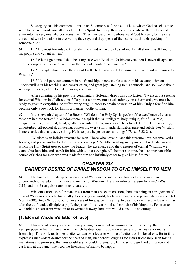St Gregory has this comment to make on Solomon's self- praise, " Those whom God has chosen to write his sacred words are filled with the Holy Spirit. In a way, they seem to rise above themselves and enter into the very one who possesses them. Thus they become mouthpieces of God himself, for they are concerned with God alone in everything they say, and they speak of themselves as though speaking of someone else."

**61.** 15. "The most formidable kings shall be afraid when they hear of me. I shall show myself kind to my people and valiant in war."

 16. "When I go home, I shall be at my ease with Wisdom, for his conversation is never disagreeable nor his company unpleasant. With him there is only contentment and joy."

 17. "I thought about these things and I reflected in my heart that immortality is found in union with Wisdom."

 18. "I found pure contentment in his friendship, inexhaustible wealth in his accomplishments, understanding in his teaching and conversation, and great joy listening to his counsels; and so I went about seeking him everywhere to make him my companion."

 After summing up his previous commentary, Solomon draws this conclusion: "I went about seeking for eternal Wisdom in all directions." To possess him we must seek ardently; in other words, we must be ready to give up everything, to suffer everything, in order to obtain possession of him. Only a few find him because only a few look for him in a manner worthy of him.

**62.** In the seventh chapter of the Book of Wisdom, the Holy Spirit speaks of the excellence of eternal Wisdom in these terms: "In Wisdom there is a spirit that is intelligent, holy, unique, fruitful, subtle, eloquent, active, unsullied, lucid, gentle, benevolent, keen, irresistible, beneficent, kindly, firm, unfailing, unperturbed, all-powerful, all-seeing, possessing every spirit, understandable, pure and subtle. For Wisdom is more active than any active thing. He is so pure he penetrates all things" (Wisd. 7:22-24).

 "Wisdom is an infinite treasure for men. Those who have utilised this treasure have become God's friends, and praiseworthy for their gifts of knowledge". 63 After reading such powerful but tender words which the Holy Spirit uses to show the beauty, the excellence and the treasures of eternal Wisdom, we cannot but love him and search for him with all our strength. All the more so since he is an inexhaustible source of riches for man who was made for him and infinitely eager to give himself to man.

## *CHAPTER SIX EARNEST DESIRE OF DIVINE WISDOM TO GIVE HIMSELF TO MEN*

**64.** The bond of friendship between eternal Wisdom and man is so close as to be beyond our understanding. Wisdom is for man and man is for Wisdom. "He is an infinite treasure for man," (Wisd. 7:14) and not for angels or any other creatures.

 Wisdom's friendship for man arises from man's place in creation, from his being an abridgement of eternal Wisdom's marvels, his small yet ever so great world, his living image and representative on earth (cf. Nos. 35-38). Since Wisdom, out of an excess of love, gave himself up to death to save man, he loves man as a brother, a friend, a disciple, a pupil, the price of his own blood and co-heir of his kingdom. For man to withhold his heart from Wisdom or to wrench it away from him would constitute an outrage.

## **[1. Eternal Wisdom's letter of love]**

**65.** This eternal beauty, ever supremely loving, is so intent on winning man's friendship that for this very purpose he has written a book in which he describes his own excellence and his desire for man's friendship. This book reads like a letter written by a lover to win the affections of his loved one, for in it he expresses such ardent desires for the heart of man, such tender longings for man's friendship, such loving invitations and promises, that you would say he could not possibly be the sovereign Lord of heaven and earth and at the same time need the friendship of man to be happy.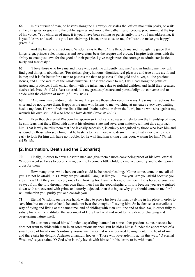**66.** In his pursuit of man, he hastens along the highways, or scales the loftiest mountain peaks, or waits at the city gates, or goes into the public squares and among the gatherings of people, proclaiming at the top of his voice, "You children of men, it is you I have been calling so persistently; it is you I am addressing; it is you I desire and seek; it is you I am claiming. Listen, draw close to me, for I want to make you happy" (Prov. 8:4).

 And the better to attract men, Wisdom says to them, "It is through me and through my grace that kings reign, princes rule, monarchs and sovereigns bear the sceptre and crown, I inspire legislators with the ability to enact just laws for the good of their people. I give magistrates the courage to administer justice fairly and fearlessly."

**67.** "I love those who love me and those who seek me diligently find me," and in finding me they will find good things in abundance. "For riches, glory, honours, dignities, real pleasure and true virtue are found in me; and it is far better for a man to possess me than to possess all the gold and silver, all the precious stones, and all the wealth of the whole universe. Those who come to me, I will lead along the paths of justice and prudence. I will enrich them with the inheritance due to rightful children and fulfil their greatest desires (cf. Prov. 8:15-21). Rest assured, it is my greatest pleasure and purest delight to converse and to abide with the children of men" (cf. Prov. 8:31).

**68.** "And now, my children, listen to me. Happy are those who keep my ways. Hear my instructions, be wise and do not ignore them. Happy is the man who listens to me, watching at my gates every day, waiting beside my door. He who finds me finds life and obtains salvation from the Lord, but he who sins against me, wounds his own soul. All who hate me love death" (Prov. 8:32-36).

**69.** Even though eternal Wisdom has spoken so kindly and so reassuringly to win the friendship of men, he still fears that they, filled with awe at his glorious state and sovereign majesty, will not dare approach him. That is why he tells them that "he is easily accessible, is quickly recognised by those who love him and is found by those who seek him; that he hastens to meet those who desire him and that anyone who rises early to look for him will have no trouble, for he will find him sitting at his door, waiting for him" (Wisd. 6:13b-15).

#### **[2. Incarnation, Death and the Eucharist]**

**70.** Finally, in order to draw closer to men and give them a more convincing proof of his love, eternal Wisdom went so far as to become man, even to become a little child, to embrace poverty and to die upon a cross for them.

 How many times while here on earth could he be heard pleading, "Come to me, come to me, all of you. Do not be afraid, it is I. Why are you afraid? I am just like you; I love you. Are you afraid because you are sinners? But they are the very ones I am looking for; I am the friend of sinners. If it is because you have strayed from the fold through your own fault, then I am the good shepherd. If it is because you are weighted down with sin, covered with grime and utterly dejected, then that is just why you should come to me for I will unburden you, purify you and console you."

**71.** Eternal Wisdom, on the one hand, wished to prove his love for man by dying in his place in order to save him, but on the other hand, he could not bear the thought of leaving him. So he devised a marvellous way of dying and living at the same time, and of abiding with man until the end of time. So, in order fully to satisfy his love, he instituted the sacrament of Holy Eucharist and went to the extent of changing and overturning nature itself.

 He does not conceal himself under a sparkling diamond or some other precious stone, because he does not want to abide with man in an ostentatious manner. But he hides himself under the appearance of a small piece of bread - man's ordinary nourishment - so that when received he might enter the heart of man and there take his delight. Ardenter amantium hoc est - Those who love ardently act in this way. "O eternal Wisdom," says a saint, "O God who is truly lavish with himself in his desire to be with man."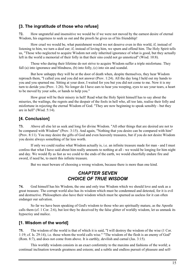#### **[3. The ingratitude of those who refuse]**

**72.** How ungrateful and insensitive we would be if we were not moved by the earnest desire of eternal Wisdom, his eagerness to seek us out and the proofs he gives us of his friendship!

 How cruel we would be, what punishment would we not deserve even in this world, if, instead of listening to him, we turn a deaf ear; if, instead of loving him, we spurn and offend him. The Holy Spirit tells us, "Those who neglected to acquire Wisdom not only inherited ignorance of what is good, but they actually left in the world a memorial of their folly in that their sins could not go unnoticed" (Wisd. 10:8).

 Those who during their lifetime do not strive to acquire Wisdom suffer a triple misfortune. They fall (a) into ignorance and blindness, (b) into folly, (c) into sin and scandal.

 But how unhappy they will be at the door of death when, despite themselves, they hear Wisdom reproach them, "I called you and you did not answer (Prov. 1:24). All the day long I held out my hands to you and you spurned me. Sitting at your door, I waited for you but you did not come to me. Now it is my turn to deride you (Prov. 1:26). No longer do I have ears to hear you weeping, eyes to see your tears, a heart to be moved by your sobs, or hands to help you."

 How great will be their misery in hell! Read what the Holy Spirit himself has to say about the miseries, the wailings, the regrets and the despair of the fools in hell who, all too late, realise their folly and misfortune in rejecting the eternal Wisdom of God. "They are now beginning to speak sensibly - but they are in hell" (Wisd. 5:14).

#### **[4. Conclusion]**

**73.** Above all else let us seek and long for divine Wisdom. "All other things that are desired are not to be compared with Wisdom" (Prov. 3:15). And again, "Nothing that you desire can be compared with him" (Prov. 8:11). You may desire the gifts of God and even heavenly treasures, but if you do not desire Wisdom you desire always something of far less worth.

 If only we could realise what Wisdom actually is, i.e. an infinite treasure made for man - and I must confess that what I have said about him really amounts to nothing at all - we would be longing for him night and day. We would fly as fast as we could to the ends of the earth, we would cheerfully endure fire and sword, if need be, to merit this infinite treasure.

But we must beware of choosing a wrong wisdom, because there is more than one kind.

#### *CHAPTER SEVEN CHOICE OF TRUE WISDOM*

**74.** God himself has his Wisdom, the one and only true Wisdom which we should love and seek as a great treasure. The corrupt world also has its wisdom which must be condemned and detested, for it is evil and destructive. Philosophers also have their wisdom which must be spurned as useless for it can often endanger our salvation.

 So far we have been speaking of God's wisdom to those who are spiritually mature, as the Apostle calls them (cf. 1 Cor. 2:6), but lest they be deceived by the false glitter of worldly wisdom, let us unmask its hypocrisy and malice.

#### **[1. Wisdom of the world]**

**75.** The wisdom of the world is that of which it is said, "I will destroy the wisdom of the wise (1 Cor. 1:19; cf. Is. 29:14), i.e. those whom the world calls wise." "The wisdom of the flesh is an enemy of God" (Rom. 8:7), and does not come from above. It is earthly, devilish and carnal (Jas. 3:15).

 This worldly wisdom consists in an exact conformity to the maxims and fashions of the world; a continual inclination towards greatness and esteem; and a subtle and endless pursuit of pleasure and self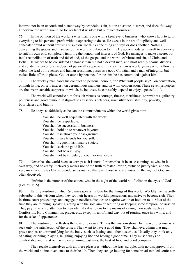interest, not in an uncouth and blatant way by scandalous sin, but in an astute, discreet, and deceitful way. Otherwise the world would no longer label it wisdom but pure licentiousness.

**76.** In the opinion of the world, a wise man is one with a keen eye to business; who knows how to turn everything to his personal profit without appearing to do so. He excels in the art of duplicity and wellconcealed fraud without arousing suspicion. He thinks one thing and says or does another. Nothing concerning the graces and manners of the world is unknown to him. He accommodates himself to everyone to suit his own end, completely ignoring the honour and interests of God. He manages to make a secret but fatal reconciliation of truth and falsehood, of the gospel and the world, of virtue and sin, of Christ and Belial. He wishes to be considered an honest man but not a devout man, and most readily scorns, distorts and condemns devotions he does not personally approve of. In short, a man is worldly-wise who, following solely the lead of his senses and human reasoning, poses as a good Christian and a man of integrity, but makes little effort to please God or atone by penance for the sins he has committed against him.

**77.** The worldly man bases his conduct on personal honour, on "What will people say?", on convention, on high living, on self-interest, on ceremonious manners, and on witty conversation. These seven principles are the irreproachable supports on which, he believes, he can safely depend to enjoy a peaceful life.

 The world will canonise him for such virtues as courage, finesse, tactfulness, shrewdness, gallantry, politeness and good humour. It stigmatises as serious offences, insensitiveness, stupidity, poverty, boorishness and bigotry.

**78.** He obeys as faithfully as he can the commandments which the world gives him:

You shall be well acquainted with the world. You shall be respectable. You shall be successful in business. You shall hold on to whatever is yours. You shall rise above your background. You shall make friends for yourself. You shall frequent fashionable society. You shall seek the good life. You shall not be a kill-joy. You shall not be singular, uncouth or over-pious.

**79.** Never has the world been so corrupt as it is now, for never has it been so cunning, so wise in its own way, and so crafty. It cleverly makes use of the truth to foster untruth, virtue to justify vice, and the very maxims of Jesus Christ to endorse its own so that even those who are wisest in the sight of God are often deceived.

 "Infinite is the number of these men, wise in the sight of the world but foolish in the eyes of God" (Eccles. 1:15).

**80.** Earthly wisdom of which St James speaks, is love for the things of this world. Worldly men secretly subscribe to this wisdom when they set their hearts on worldly possessions and strive to become rich. They institute court proceedings and engage in needless disputes to acquire wealth or hold on to it. Most of the time they are thinking, speaking, acting with the sole aim of acquiring or keeping some temporal possession. They pay little or no attention to their eternal salvation or to the means of saving their souls, such as Confession, Holy Communion, prayer, etc.; except in an offhand way out of routine, once in a while, and for the sake of appearances.

**81.** The wisdom of the flesh is the love of pleasure. This is the wisdom shown by the worldly-wise who seek only the satisfaction of the senses. They want to have a good time. They shun everything that might prove unpleasant or mortifying for the body, such as fasting, and other austerities. Usually they think only of eating, drinking, playing, laughing, enjoying life and having a good time. They must always be comfortable and insist on having entertaining pastimes, the best of food and good company.

 They regale themselves with all these pleasures without the least scruple, with no disapproval from the world and no inconvenience to their health. Then they can go looking for some broad-minded confessor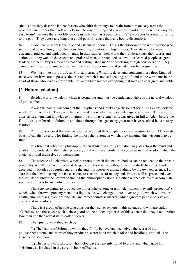(that is how they describe lax confessors who shirk their duty) to obtain from him on easy terms the peaceful sanction for their soft and effeminate way of living and a generous pardon for their sins. I say "on easy terms" because these worldly people usually want as a penance only a few prayers or a small offering to the poor. They detest anything that could possibly cause them any bodily discomfort.

**82.** Diabolical wisdom is the love and esteem of honours. This is the wisdom of the worldly-wise who, secretly, of course, long for distinctions, honours, dignities and high offices. They strive to be seen, esteemed, praised and applauded by men. In their studies, their work, their undertakings, their words and actions, all they want is the esteem and praise of men, to be reputed as devout or learned people, as great leaders, eminent lawyers, men of great and distinguished merit or deserving of high consideration. They cannot bear insult or blame and so they hide their shortcomings and parade their better qualities.

**83.** We must, like our Lord Jesus Christ, incarnate Wisdom, detest and condemn these three kinds of false wisdom if we are to possess the true one, which is not self-seeking, not found in the world nor in the heart of those who lead a comfortable life, and which loathes everything that men consider great and noble.

## **[2. Natural wisdom]**

**84.** Besides worldly wisdom, which is pernicious and must be condemned, there is the natural wisdom of philosophers.

 It was this natural wisdom that the Egyptians and Greeks eagerly sought for, "The Greeks look for wisdom" (1 Cor. 1:22). Those who had acquired this wisdom were called magi or wise men. This wisdom consists in an eminent knowledge of nature in its primary elements. It was given in full to Adam before the Fall. It was conferred on Solomon, and down through the ages many great men have received it, as history testifies.

**85.** Philosophers boast that their wisdom is acquired through philosophical argumentation. Alchemists boast of cabalistic secrets for finding the philosopher's stone in which, they imagine, this wisdom is to be found.

 It is true that scholastic philosophy, when studied in a truly Christian way, develops the mind and enables it to understand the higher sciences, but it will never confer that so-called natural wisdom which the ancients prided themselves on possessing.

**86.** The science of alchemists, which purports to teach that natural bodies can be reduced to their basic principles, is still more worthless and dangerous. This science, although valid in itself, has duped and deceived multitudes of people regarding the end it proposes to attain. Judging by my own experience, I am sure that the devil is using this false science to cause a loss of money and time, as well as grace, and even the soul itself, under the pretext of finding the philosopher's stone. No other science claims to accomplish such great effects by such obvious means.

 This science claims to produce the philosopher's stone or a powder (which they call "projection") which, when thrown upon any metal in a liquid state, will change it into silver or gold, which will restore health, cure illnesses, even prolong life, and effect countless marvels which ignorant people believe are divine and miraculous.

 There is a group of people who consider themselves experts in this science and who are called "Cabalists" and these keep such a close guard on the hidden mysteries of this science that they would rather lose their life than reveal its so-called secrets.

**87.** They justify what they teach by:

 (1) The history of Solomon, whom they firmly believe had been given the secret of the philosopher's stone, and as proof they produce a secret book which is false and insidious, entitled "The Clavicle of Solomon".

 (2) The history of Esdras, to whom God gave a heavenly liquid to drink and which gave him "wisdom", as is related in the seventh book of Esdras.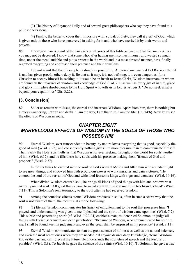(3) The history of Raymond Lully and of several great philosophers who say they have found this philosopher's stone.

 (4) Finally, the better to cover their imposture with a cloak of piety, they call it a gift of God, which is given only to those who have persevered in asking for it and who have merited it by their works and prayers.

**88.** I have given an account of the fantasies or illusions of this futile science so that like many others you may not be deceived. I know that some who, after having spent so much money and wasted so much time, under the most laudable and pious pretexts in the world and in a most devoted manner, have finally regretted everything and confessed their pretence and their delusions.

 I do not admit that the philosopher's stone is a possibility. A learned man named Del Rio is certain it is and has given proofs; others deny it. Be that as it may, it is not befitting, it is even dangerous, for a Christian to occupy himself in seeking it. It would be an insult to Jesus Christ, Wisdom incarnate, in whom are found all the treasures of wisdom and knowledge of God (Col. 2:3) as well as every gift of nature, grace and glory. It implies disobedience to the Holy Spirit who tells us in Ecclesiasticus 3: "Do not seek what is beyond your capabilities" (Sir. 3:22).

## **[3. Conclusion]**

**89.** So let us remain with Jesus, the eternal and incarnate Wisdom. Apart from him, there is nothing but aimless wandering, untruth and death. "I am the way, I am the truth, I am the life" (Jn. 14:6). Now let us see the effects of Wisdom in souls.

## *CHAPTER EIGHT MARVELLOUS EFFECTS OF WISDOM IN THE SOULS OF THOSE WHO POSSESS HIM*

**90.** Eternal Wisdom, ever transcendent in beauty, by nature loves everything that is good, especially the good of man (Wisd. 7:22), and consequently nothing gives him more pleasure than to communicate himself. That is why the Holy Spirit tells us that Wisdom is for ever seeking throughout the world for souls worthy of him (Wisd. 6:17), and he fills these holy souls with his presence making them "friends of God and prophets" (Wisd. 7:27).

 In former times he entered into the soul of God's servant Moses and filled him with abundant light to see great things, and endowed him with prodigious power to work miracles and gain victories. "He entered the soul of the servant of God and withstood fearsome kings with signs and wonders" (Wisd. 10:16).

 When divine Wisdom enters a soul, he brings all kinds of good things with him and bestows vast riches upon that soul. "All good things came to me along with him and untold riches from his hand" (Wisd. 7:11). This is Solomon's own testimony to the truth after he had received Wisdom.

**91.** Among the countless effects eternal Wisdom produces in souls, often in such a secret way that the soul is not aware of them, the most usual are the following:

**92.** (1) Eternal Wisdom communicates his Spirit of enlightenment to the soul that possesses him, "I prayed, and understanding was given to me. I pleaded and the spirit of wisdom came upon me" (Wisd. 7:7). This subtle and penetrating spirit (cf. Wisd. 7:22-24) enables a man, as it enabled Solomon, to judge all things with keen discernment and deep penetration. "Because of Wisdom, who communicated his spirit to me, I shall be found keen in judgement and even the great shall be surprised in my presence" (Wisd. 8:11).

**93.** Eternal Wisdom communicates to man the great science of holiness as well as the natural sciences, and even the most secret ones when they are needed. "If anyone desires deep knowledge, eternal Wisdom knows the past and can forecast the future. He understands the subtleties of speech and the lessons of parables" (Wisd. 8:8). To Jacob he gave the science of the saints (Wisd. 10:10). To Solomon he gave a true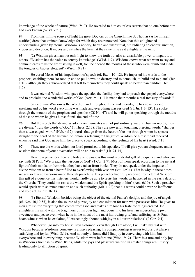knowledge of the whole of nature (Wisd. 7:17). He revealed to him countless secrets that no one before him had ever known (Wisd. 7:21).

**94.** From this infinite source of light the great Doctors of the Church, like St Thomas (as he himself testifies) drew that eminent knowledge for which they are renowned. Note that this enlightened understanding given by eternal Wisdom is not dry, barren and unspiritual, but radiating splendour, unction, vigour and devotion. It moves and satisfies the heart at the same time as it enlightens the mind.

**95.** (2) Wisdom gives man not only light to know the truth but also a remarkable power to impart it to others. "Wisdom has the voice to convey knowledge" (Wisd. 1:7). Wisdom knows what we want to say and communicates to us the art of saying it well, for "he opened the mouths of those who were dumb and made the tongues of babies eloquent" (Wisd. 10:21).

 He cured Moses of his impediment of speech (cf. Ex. 4:10- 12). He imparted his words to the prophets, enabling them "to root up and to pull down, to destroy and to demolish, to build and to plant" (Jer. 1:10), although they acknowledged that left to themselves they could speak no better than children (Jer. 1:6).

 It was eternal Wisdom who gave the apostles the facility they had to preach the gospel everywhere and to proclaim the wonderful works of God (Acts 2:11). "He made their mouths a real treasury of words."

 Since divine Wisdom is the Word of God throughout time and eternity, he has never ceased speaking and by his word everything was made and everything was restored (cf. Jn. 1:3- 13). He spoke through the mouths of the prophets and apostles (Cf. No. 47) and he will go on speaking through the mouths of those to whom he gives himself until the end of time.

**96.** But the words that divine Wisdom communicates are not just ordinary, natural, human words; they are divine, "truly the words of God" (1 Thess. 2:13). They are powerful, touching, piercing words, "sharper than a two-edged sword" (Heb. 4:12), words that go from the heart of the one through whom he speaks straight to the heart of the listener. Solomon is referring to this gift of Wisdom he himself had received when he said that God gave him the grace to speak according to the feelings of his heart (Wisd. 7:15).

**97.** These are the words which our Lord promised to his apostles, "I will give you an eloquence and a wisdom that none of your adversaries will be able to resist" (Lk. 21:15).

 How few preachers there are today who possess this most wonderful gift of eloquence and who can say with St Paul, "We preach the wisdom of God" (1 Cor. 2:7). Most of them speak according to the natural light of their minds, or from what they have taken from books. They do not speak under the impulse of divine Wisdom or from a heart filled to overflowing with wisdom (Mt. 12:34). That is why in these times we see so few conversions made through preaching. If a preacher had truly received from eternal Wisdom this gift of eloquence, his listeners would hardly be able to resist his words, as happened in the early days of the Church: "They could not resist the wisdom and the Spirit speaking in him" (Acts 6:10). Such a preacher would speak with so much unction and such authority (Mk. 1:22) that his words could never be ineffectual and void (cf. Is. 55:10-11).

**98.** (3) Eternal Wisdom, besides being the object of the eternal Father's delight, and the joy of angels (cf. Nos. 10,19,55), is also the source of purest joy and consolation for man who possesses him. He gives to man a relish for everything that comes from God and makes him lose his taste for things created. He enlightens his mind with the brightness of his own light and pours into his heart an indescribable joy, sweetness and peace even when he is in the midst of the most harrowing grief and suffering, as St Paul bears witness when he exclaims, "I exceedingly abound with joy in all our tribulations" (2 Cor. 7:4).

Whenever I go into my house, says Solomon, even though I am alone, I will take my rest with Wisdom because Wisdom's company is always pleasing, his companionship is never tedious but always satisfying and joyful (Wisd. 8:16). And not only at home did I find joy in conversing with him, but everywhere and in everything, because Wisdom went before me (Wisd. 7:12). There is a true and holy joy in Wisdom's friendship (Wisd. 8:18), while the joys and pleasures we find in created things are illusory, leading only to affliction of spirit.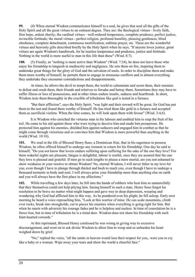**99.** (4) When eternal Wisdom communicates himself to a soul, he gives that soul all the gifts of the Holy Spirit and all the great virtues to an eminent degree. They are: the theological virtues - lively faith, firm hope, ardent charity; the cardinal virtues - well-ordered temperance, complete prudence, perfect justice, invincible fortitude; the moral virtues - perfect religion, profound humility, pleasing gentleness, blind obedience, complete detachment, continuous mortification, sublime prayer, etc. These are the wonderful virtues and heavenly gifts described briefly by the Holy Spirit when he says, "If anyone loves justice, great virtues are again Wisdom's handiwork, for he teaches temperance and prudence, justice and fortitude. Nothing in the world is more useful to man in this life than these" (Wisd. 8:7).

**100.** (5) Finally, as "nothing is more active than Wisdom" (Wisd. 7:24), he does not leave those who enjoy his friendship to languish in mediocrity and negligence. He sets them on fire, inspiring them to undertake great things for the glory of God and the salvation of souls. In order to discipline them and make them more worthy of himself, he permits them to engage in strenuous conflicts and in almost everything they undertake they encounter contradictions and disappointments.

 At times, he allows the devil to tempt them, the world to calumniate and scorn them, their enemies to defeat and crush them, their friends and relatives to forsake and betray them. Sometimes they may have to suffer illness or loss of possessions, and at other times endure insults, sadness and heartbreak. In short, Wisdom tests them thoroughly in the crucible of tribulation like god is tested in a furnace.

 "But their affliction", says the Holy Spirit, "was light and their reward will be great, for God has put them to the test and found them worthy of himself. He has tried them like gold in a furnace and accepted them as sacrificial victims. When the time comes, he will look upon them with favour" (Wisd. 3:4,6).

 It is Wisdom who enriched the virtuous man in his labours and enabled him to reap the fruit of his toil. He came to his aid against those who were trying to deceive him and made him prosperous. He protected him against his enemies, shielded him against seducers and engaged him in combat so that he might come through victorious and so convince him that Wisdom is more powerful than anything in the world (Wisd. 10:10).

**101.** We read in the life of Blessed Henry Suso, a Dominican friar, that in his eagerness to possess Wisdom, he often offered himself to undergo any torment in return for his friendship. One day he said to himself, "Do you not know that lovers endure suffering upon suffering for the sake of the one they love? For them wakeful nights are pleasant, fatigue is delightful, labour is restful, once they are assured that the one they love is pleased and grateful. If men go to such lengths to please a mere mortal, are you not ashamed to show weakness in your resolve to obtain Wisdom? No, eternal Wisdom, I will never falter in my love for you, even though I have to plunge through thicket and bush to reach you, even though I have to undergo a thousand torments in body and soul. I will always prize your friendship more than anything else on earth and you will always have the first place in my affections."

**102.** While travelling a few days later, he fell into the hands of robbers who beat him so unmercifully that they themselves could not help pitying him. Seeing himself in such a state, Henry Suso forgot his resolution to be brave no matter what might happen and gave way to deep depression, weeping and wondering why God had afflicted him in this way. As he pondered over his plight, he fell asleep. Early next morning he heard a voice reproaching him, "Look at this warrior of mine. He can scale mountains, climb over rocks, break into strongholds, cut to pieces his enemies when everything is going right for him. But when he meets with adversity his courage fades and he is helpless and useless. In time of consolation he is a fierce lion, but in time of tribulation he is a timid deer. Wisdom does not share his friendship with such faint-hearted cowards."

 At this reprimand, Blessed Henry confessed he was wrong in giving way to excessive discouragement, and went on to ask divine Wisdom to allow him to weep and so unburden his heart weighed down by grief.

 "No," replied the voice, "all the saints in heaven would lose their respect for you,. were you to cry like a baby or a woman. Wipe away your tears and show the world a cheerful face."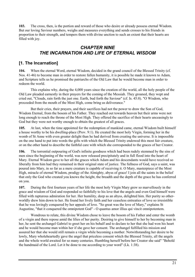**103.** The cross, then, is the portion and reward of those who desire or already possess eternal Wisdom. But our loving Saviour numbers, weighs and measures everything and sends crosses to his friends in proportion to their strength, and tempers them with divine unction to such an extent that their hearts are filled with joy.

## *CHAPTER NINE THE INCARNATION AND LIFE OF ETERNAL WISDOM*

#### **[1. The Incarnation]**

**104.** When the eternal Word, eternal Wisdom, decided in the grand council of the Blessed Trinity (cf. Nos. 41-46) to become man in order to restore fallen humanity, it is possible he made it known to Adam, and Scripture tells us he promised the patriarchs of the Old Law that he would become man in order to redeem the world.

 This explains why, during the 4,000 years since the creation of the world, all the holy people of the Old Law pleaded earnestly in their prayers for the coming of the Messiah. They groaned, they wept and cried out, "Clouds, rain forth the just one. Earth, bud forth the Saviour" (cf. Is. 45:8). "O Wisdom, who proceeded from the mouth of the Most High, come bring us deliverance."

 But their cries, their prayers, and their sacrifices had not the power to draw the Son of God, Wisdom Eternal, from the bosom of his Father. They reached out towards heaven but their arms were not long enough to reach the throne of the Most High. They offered the sacrifice of their hearts unceasingly to God but they were not worthy enough to obtain the greatest of all graces.

**105.** At last, when the time appointed for the redemption of mankind came, eternal Wisdom built himself a house worthy to be his dwelling-place (Prov. 9:1). He created the most holy Virgin, forming her in the womb of St Anne with even greater delight than he had derived from creating the universe. It is impossible on the one hand to put into words the gifts with which the Blessed Trinity endowed this most fair creature, or on the other hand to describe the faithful care with which she corresponded to the graces of her Creator.

**106.** The torrential outpouring of God's infinite goodness which had been rudely stemmed by the sins of men since the beginning of the world, was now released precipitately and in full flood into the heart of Mary. Eternal Wisdom gave to her all the graces which Adam and his descendants would have received so liberally from him had they remained in their original state of justice. The fullness of God, says a saint, was poured into Mary, in so far as a mere creature is capable of receiving it. O Mary, masterpiece of the Most High, miracle of eternal Wisdom, prodigy of the Almighty, abyss of grace! I join all the saints in the belief that only the God who created you knows the height, the breadth and the depth of the grace he has conferred on you.

**107.** During the first fourteen years of her life the most holy Virgin Mary grew so marvellously in the grace and wisdom of God and responded so faithfully to his love that the angels and even God himself were filled with rapturous admiration for her. Her humility, deep as an abyss, delighted him. Her purity so otherworldly drew him down to her. He found her lively faith and her ceaseless entreaties of love so irresistible that he was lovingly conquered by her appeals of love. "So great was the love of Mary," explains St Augustine, "that it conquered the omnipotent God" - O quantus amor illius qui vincit omnipotentem.

 Wondrous to relate, this divine Wisdom chose to leave the bosom of his Father and enter the womb of a virgin and there repose amid the lilies of her purity. Desiring to give himself to her by becoming man in her, he sent the archangel Gabriel to greet her on his behalf and to declare to her that she had won his heart and he would become man within her if she gave her consent. The archangel fulfilled his mission and assured her that she would still remain a virgin while becoming a mother. Notwithstanding her desire to be lowly, Mary wholeheartedly gave the angel that priceless consent which the Blessed Trinity, all the angels and the whole world awaited for so many centuries. Humbling herself before her Creator she said" "Behold the handmaid of the Lord. Let it be done to me according to your word" (Lk. 1:38).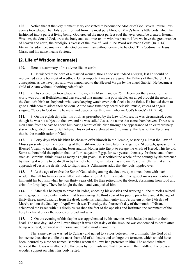**108.** Notice that at the very moment Mary consented to become the Mother of God, several miraculous events took place. The Holy Spirit formed from the most pure blood of Mary's heart a little body which he fashioned into a perfect living being: God created the most perfect soul that ever could be created. Eternal Wisdom, the Son of God, drew the body and soul into union with his person. Here we have the great wonder of heaven and earth, the prodigious excess of the love of God. "The Word was made flesh" (Jn. 1:14). Eternal Wisdom became incarnate. God became man without ceasing to be God. This God-man is Jesus Christ and his name means Saviour.

## **[2. Life of Wisdom Incarnate]**

**109.** Here is a summary of his divine life on earth:

 1. He wished to be born of a married woman, though she was indeed a virgin, lest he should be reproached as one born out of wedlock. Other important reasons are given by Fathers of the Church. His conception, as we have just said, was announced to the Blessed Virgin by the angel Gabriel. He became a child of Adam without inheriting Adam's sin.

**110.** 2. His conception took place on Friday, 25th March, and on 25th December the Saviour of the world was born at Bethlehem and was cradled in a manger in a poor stable. An angel brought the news of the Saviour's birth to shepherds who were keeping watch over their flocks in the fields. He invited them to go to Bethlehem to adore their Saviour. At the same time they heard celestial music, voices of angels singing, "Glory to God in the heavens and peace on earth to men who are God's friends" (Lk. 2:14).

111. 3. On the eighth day after his birth, as prescribed by the Law of Moses, he was circumcised, even though he was not subject to the law, and he was called Jesus, the name that came from heaven. Three wise men came from the east to adore him having learnt of his birth through the appearance of an extraordinary star which guided them to Bethlehem. This event is celebrated on 6th January, the feast of the Epiphany, that is, the manifestation of God.

**112.** 4. Forty days after his birth he chose to offer himself in the Temple, observing all that the Law of Moses prescribed for the redeeming of the first-born. Some time later the angel told St Joseph, spouse of the Blessed Virgin, to take the infant Jesus and his Mother into Egypt to escape the wrath of Herod. This he did. Some authors hold the opinion that our Lord stayed in Egypt for two years; others say for three, and others such as Baronius, think it was as many as eight years. He sanctified the whole of the country by his presence by making it worthy to be dwelt in by the holy hermits, as history has shown. Eusebius tells us that at the approach of Jesus the devils took to flight, and St Athanasius adds that the idols toppled over.

**113.** 5. At the age of twelve the Son of God, sitting among the doctors, questioned them with such wisdom that all his hearers were filled with admiration. After this incident the gospel makes no mention of him until his baptism when he was thirty years old. He then retired into the desert, abstaining from food and drink for forty days. There he fought the devil and vanquished him.

**114.** 6. After this he began to preach in Judea, choosing his apostles and working all the miracles related in the gospels. I need only mention that Jesus during the third year of his public preaching and at the age of thirty-three, raised Lazarus from the dead, made his triumphant entry into Jerusalem on the 29th day of March, and on the 2nd day of April which was Thursday, the fourteenth day of the month of Nisan, celebrated the Pasch with his disciples, washed the feet of the apostles and instituted the sacrament of the holy Eucharist under the species of bread and wine.

**115.** 7. On the evening of this day he was apprehended by his enemies with Judas the traitor at their head. The next day, 3rd April, even though it was a feast-day of the Jews, he was condemned to death after being scourged, crowned with thorns, and treated most shamefully.

 That same day he was led to Calvary and nailed to a cross between two criminals. The God of all innocence thus chose to die the most shameful of all deaths and undergo the torments which should have been incurred by a robber named Barabbas whom the Jews had preferred to him. The ancient Fathers believed that Jesus was attached to the cross by four nails and that there was in the middle of the cross a wooden support on which his body rested.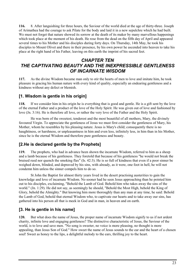**116.** 8. After languishing for three hours, the Saviour of the world died at the age of thirty-three. Joseph of Arimathea had the courage to ask Pilate for the body and laid it in a new sepulchre which he had built. We must not forget that nature showed its sorrow at the death of its maker by many marvellous happenings which took place at the moment of his death. He rose from the dead on the fifth day of April and appeared several times to his Mother and his disciples during forty days. On Thursday, 14th May, he took his disciples to Mount Olivet and there in their presence, by his own power he ascended into heaven to take his place at the right hand of his Father, leaving on this earth the imprint of his sacred feet.

## *CHAPTER TEN THE CAPTIVATING BEAUTY AND THE INEXPRESSIBLE GENTLENESS OF INCARNATE WISDOM*

**117.** As the divine Wisdom became man only to stir the hearts of men to love and imitate him, he took pleasure in gracing his human nature with every kind of quality, especially an endearing gentleness and a kindness without any defect or blemish.

## **[1. Wisdom is gentle in his origin]**

**118.** If we consider him in his origin he is everything that is good and gentle. He is a gift sent by the love of the eternal Father and a product of the love of the Holy Spirit. He was given out of love and fashioned by love (Jn. 3:16). He is therefore all love, or rather the very love of the Father and the Holy Spirit.

 He was born of the sweetest, tenderest and the most beautiful of all mothers, Mary, the divinely favoured Virgin. To appreciate the gentleness of Jesus we must first consider the gentleness of Mary, his Mother, whom he resembles by his pleasing nature. Jesus is Mary's child; consequently there is no haughtiness, or harshness, or unpleasantness in him and even less, infinitely less, in him than in his Mother, since he is the eternal Wisdom and therefore pure gentleness and beauty.

## **[2.He is declared gentle by the Prophets]**

**119.** The prophets, who had in advance been shown the incarnate Wisdom, referred to him as a sheep and a lamb because of his gentleness. They foretold that because of his gentleness "he would not break the bruised reed nor quench the smoking flax" (Is. 42:3). He is so full of kindness that even if a poor sinner be weighed down, blinded, and depraved by his sins, with already, as it were, one foot in hell, he will not condemn him unless the sinner compels him to do so.

 St John the Baptist for almost thirty years lived in the desert practising austerities to gain the knowledge and love of incarnate Wisdom. No sooner had he seen Jesus approaching than he pointed him out to his disciples, exclaiming, "Behold the Lamb of God. Behold him who takes away the sins of the world." (Jn. 1:29). He did not say, as seemingly he should, "Behold the Most High, behold the King of Glory, behold the Almighty." But knowing him more thoroughly than any man at any time, he said: Behold the Lamb of God, behold that eternal Wisdom who, to captivate our hearts and to take away our sins, has gathered into his person all that is meek in God and in man, in heaven and on earth.

## **[3. He is gentle in his name]**

**120.** But what does the name of Jesus, the proper name of incarnate Wisdom signify to us if not ardent charity, infinite love and engaging gentleness? The distinctive characteristic of Jesus, the Saviour of the world, is to love and save men. "No song is sweeter, no voice is more pleasing, no thought is more appealing, than Jesus Son of God." How sweet the name of Jesus sounds to the ear and the heart of a chosen soul! Sweet as honey to the lips, a delightful melody to the ears, thrilling joy to the heart.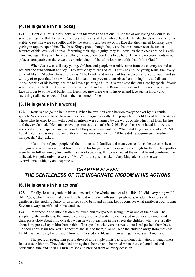#### **[4. He is gentle in his looks]**

**121.** "Gentle is Jesus in his looks, and in his words and actions." The face of our loving Saviour is so serene and gentle that it charmed the eyes and hearts of those who beheld it. The shepherds who came to the stable to see him were so spellbound by the serenity and beauty of his face that they tarried for many days gazing in rapture upon him. The three Kings, proud though they were, had no sooner seen the tender features of this lovely child than, forgetting their high dignity, they fell down on their knees beside his crib. Time and again they said to one another, "Friend, how good it is to be here! There are no enjoyments in our palaces comparable to those we are experiencing in this stable looking at this dear Infant-God."

 When Jesus was still very young, children and people in trouble came from the country around to see him and find comfort and joy. They would say to each other, "Let us go and see young Jesus, the lovely child of Mary." St John Chrysostom says, "The beauty and majesty of his face were at once so sweet and so worthy of respect that those who knew him could not prevent themselves from loving him, and distant kings, hearing of his beauty, desired to have a painting of him. It is even said that our Lord by special favour sent his portrait to King Abogare. Some writers tell us that the Roman soldiers and the Jews covered his face in order to strike and buffet him freely because there was in his eyes and face such a kindly and ravishing radiance as would disarm the most cruel of men.

#### **[5. He is gentle in his words]**

**122.** Jesus is also gentle in his words. When he dwelt on earth he won everyone over by his gentle speech. Never was he heard to raise his voice or argue heatedly. The prophets foretold this of him (Is. 42:2). Those who listened to him with good intentions were charmed by the words of life which fell from his lips and they exclaimed, "No man has ever spoken as this man" (Jn. 7:46). Even those who hated him were so surprised at his eloquence and wisdom that they asked one another, "Where did he get such wisdom?" (Mt. 13:54). No man has ever spoken with such meekness and unction. "Where did he acquire such wisdom in his speech?" they asked.

 Multitudes of poor people left their homes and families and went even as far as the desert to hear him, going several days without food or drink, for his gentle words were food enough for them. The apostles were led to follow him by his kindly manner of speaking. His words healed the incurable and comforted the afflicted. He spoke only one word, - "Mary" - to the grief-stricken Mary Magdalene and she was overwhelmed with joy and happiness.

## *CHAPTER ELEVEN THE GENTLENESS OF THE INCARNATE WISDOM IN HIS ACTIONS*

#### **[6. He is gentle in his actions]**

**123.** Finally, Jesus is gentle in his actions and in the whole conduct of his life. "He did everything well" (Mt. 7:37), which means that everything he did was done with such uprightness, wisdom, holiness and gentleness that nothing faulty or distorted could be found in him. Let us consider what gentleness our loving Saviour always manifested in his conduct.

**124.** Poor people and little children followed him everywhere seeing him as one of their own. The simplicity, the kindliness, the humble courtesy and the charity they witnessed in our dear Saviour made them press close about him. One day when he was preaching in the streets the children who were usually about him, pressed upon him from behind. The apostles who were nearest to our Lord pushed them back. On seeing this Jesus rebuked his apostles and said to them, "Do not keep the children away from me" (Mt. 19:14). When they gathered about him he embraced and blessed them with gentleness and kindness.

 The poor, on seeing him poorly dressed and simple in his ways, without ostentation or haughtiness, felt at ease with him. They defended him against the rich and the proud when these calumniated and persecuted him, and he in his turn praised and blessed them on every occasion.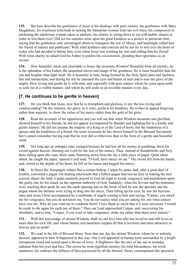**125.** But how describe the gentleness of Jesus in his dealings with poor sinners: his gentleness with Mary Magdalene, his courteous solicitude in turning the Samaritan woman from her evil ways, his compassion in pardoning the adulterous woman taken in adultery, his charity in sitting down to eat with public sinners in order to win them over? Did not his enemies seize upon his great kindness as a pretext to persecute him, saying that his gentleness only encouraged others to transgress the law of Moses, and tauntingly called him the friend of sinners and publicans? With what kindness and concern did he not try to win over the heart of Judas who had decided to betray him, even when Jesus was washing his feet and calling him his friend! With what charity he asked God his Father to pardon his executioners, pleading their ignorance as an excuse.

**126.** How beautiful, meek and charitable is Jesus, the incarnate Wisdom! Beautiful from all eternity, he is the splendour of his Father, the unspotted mirror and image of his goodness. He is more beautiful than the sun and brighter than light itself. He is beautiful in time, being formed by the Holy Spirit pure and faultless, fair and immaculate, and during his life he charmed the eyes and hearts of men and is now the glory of the angels. How loving and gentle he is with men, and especially with poor sinners whom he came upon earth to seek out in a visible manner, and whom he still seeks in an invisible manner every day.

## **[7. He continues to be gentle in heaven]**

**127.** Do you think that Jesus, now that he is triumphant and glorious, is any the less loving and condescending? On the contrary, his glory, as it were, perfects his kindness. He wishes to appear forgiving rather than majestic, to show the riches of his mercy rather than the gold of his glory.

**128.** Read the accounts of his apparitions and you will see that when Wisdom incarnate and glorified showed himself to his friends, he did not appear accompanied by thunder and lightning but in a kindly and gentle manner. He did not assume the majesty of a King or of the Lord of hosts, but the tenderness of a spouse and the kindliness of a friend. On some occasions he has shown himself in the Blessed Sacrament, but I cannot remember having read that he ever did so otherwise than in the form of a gentle and beautiful child.

**129.** Not long ago an unhappy man, enraged because he had lost all his money at gambling, drew his sword against heaven, blaming our Lord for the loss of his money. Then, instead of thunderbolts and fiery darts falling upon this man, there came fluttering down from the sky a little piece of paper. Quite taken aback, he caught the paper, opened it and read, "O God, have mercy on me." The sword fell from his hands, and, stirred to the depths of his heart, he fell on his knees and begged for mercy.

**130.** St Denis the Areopagite relates that a certain bishop, Carpas by name, had, after a great deal of trouble, converted a pagan. On hearing afterwards that a fellow-pagan had lost no time in making the new convert abjure the faith, Carpas earnestly prayed to God all night to wreak vengeance and punishment upon the guilty one for his attack on the supreme authority of God. Suddenly, when his fervour and his entreaties were reaching their peak, he saw the earth opening and on the brink of hell he saw the apostate and the pagan whom the demons were trying to drag into the abyss. Then lifting up his eyes, he saw the heavens open and Jesus Christ accompanied by a multitude of angels coming to him and saying, "Carpas, you asked me for vengeance, but you do not know me. You do not realise what you are asking for, nor what sinners have cost me. Why do you want me to condemn them? I love them so much that if it were necessary I would be ready to die again for each one of them." Then our Lord approached Carpas, and, uncovering his shoulders, said to him, "Carpas, if you want to take vengeance, strike me rather than these poor sinners."

**131.** With this knowledge of eternal Wisdom, shall we not love him who has loved us and still loves us more than his own life; and whose beauty and meekness surpass all that is loveliest and most attractive in heaven and on earth?

**132.** We read in the life of Blessed Henry Suso that one day the eternal Wisdom, whom he so ardently desired, appeared to him. It happened in this way. Our Lord appeared in human form surrounded by a bright transparent cloud and seated upon a throne of ivory. A brightness like the rays of the sun at noonday radiated from his eyes and face. The crown he wore signified eternity; his robe blessedness; his word meekness; his embrace the fullness of bliss possessed by all the blessed. Henry contemplated this spectacle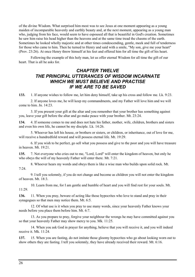of the divine Wisdom. What surprised him most was to see Jesus at one moment appearing as a young maiden of incomparable heavenly and earthly beauty and, at the next moment, appearing as a young man who, judging from his face, would seem to have espoused all that is beautiful in God's creation. Sometimes he saw him raise his head higher than the heavens and at the same time tread the chasms of the earth. Sometimes he looked wholly majestic and at other times condescending, gentle, meek and full of tenderness for those who came to him. Then he turned to Henry and said with a smile, "My son, give me your heart" (Prov. 23:26). At once Henry threw himself at his feet and offered him for all time the gift of his heart.

 Following the example of this holy man, let us offer eternal Wisdom for all time the gift of our heart. That is all he asks for.

#### *CHAPTER TWELVE THE PRINCIPAL UTTERANCES OF WISDOM INCARNATE WHICH WE MUST BELIEVE AND PRACTISE IF WE ARE TO BE SAVED*

**133.** 1. If anyone wishes to follow me, let him deny himself, take up his cross and follow me. Lk. 9:23.

 2. If anyone loves me, he will keep my commandments, and my Father will love him and we will come to him. Jn. 14:23.

 3. If you present your gift at the altar and you remember that your brother has something against you, leave your gift before the altar and go make peace with your brother. Mt. 23:24.

**134.** 4. If someone comes to me and does not hate his father, mother, wife, children, brothers and sisters and even his own life, he cannot be my disciple. Lk. 14:26.

 5. Whoever has left his house, or brothers or sisters, or children, or inheritance, out of love for me, will receive a hundredfold reward and will possess eternal life. Mt. 19:29.

 6. If you wish to be perfect, go sell what you possess and give to the poor and you will have treasure in heaven. Mt. 19:21.

**135.** 7. Not everyone who cries out to me, "Lord, Lord" will enter the kingdom of heaven, but only he who obeys the will of my heavenly Father will enter there. Mt. 7:21.

 8. Whoever hears my words and obeys them is like a wise man who builds upon solid rock. Mt. 7:24.

 9. I tell you solemnly, if you do not change and become as children you will not enter the kingdom of heaven. Mt. 18:3.

 10. Learn from me, for I am gentle and humble of heart and you will find rest for your souls. Mt.  $11.29$ 

**136.** 11. When you pray, beware of acting like those hypocrites who love to stand and pray in their synagogues so that men may notice them. Mt. 6:5.

 12. Of what use is it when you pray to use many words, since your heavenly Father knows your needs before you place them before him. Mt. 6:7.

 13. As you prepare to pray, forgive your neighbour the wrongs he may have committed against you so that your heavenly Father may show mercy to you. Mk. 11:25.

 14. When you ask God in prayer for anything, believe that you will receive it, and you will indeed receive it. Mk. 11:24.

**137.** 15. When you are fasting, do not imitate those gloomy hypocrites who go about looking worn out to show others they are fasting. I tell you solemnly, they have already received their reward. Mt. 6:16.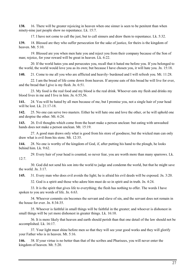**138.** 16. There will be greater rejoicing in heaven when one sinner is seen to be penitent than when ninety-nine just people show no repentance. Lk. 15:7.

17. I have not come to call the just, but to call sinners and draw them to repentance. Lk. 5:32.

**139.** 18. Blessed are they who suffer persecution for the sake of justice, for theirs is the kingdom of heaven. Mt. 5:10.

 19. Blessed are you when men hate you and reject you from their company because of the Son of man; rejoice, for your reward will be great in heaven. Lk. 6:22.

 20. If the world hates you and persecutes you, recall that it hated me before you. If you belonged to the world, the world would love you as its own; but because I have chosen you, it will hate you. Jn. 15:18.

**140.** 21. Come to me all you who are afflicted and heavily- burdened and I will refresh you. Mt. 11:28.

 22. I am the bread of life come down from heaven. If anyone eats of this bread he will live for ever, and the bread that I give is my flesh. Jn. 6:51.

 23. My food is the real food and my blood is the real drink. Whoever eats my flesh and drinks my blood lives in me and I live in him. Jn. 6:55,56.

**141.** 24. You will be hated by all men because of me, but I promise you, not a single hair of your head will be lost. Lk. 21:17-18.

**142.** 25. No one can serve two masters. Either he will hate one and love the other, or he will uphold one and despise the other. Mt. 6:24.

**143.** 26. Evil thoughts which come from the heart make a person unclean: but eating with unwashed hands does not make a person unclean. Mt. 15:19.

 27. A good man draws only what is good from his store of goodness; but the wicked man can only draw what is evil from his store. Mt. 12:35.

**144.** 28. No one is worthy of the kingdom of God, if, after putting his hand to the plough, he looks behind him. Lk. 9:62.

 29. Every hair of your head is counted; so never fear, you are worth more than many sparrows. Lk. 12:7.

 30. God did not send his son into the world to judge and condemn the world, but that he might save the world. Jn. 3:17.

**145.** 31. Every man who does evil avoids the light; he is afraid his evil deeds will be exposed. Jn. 3:20.

32. God is a spirit and those who adore him must do so in spirit and in truth. Jn. 4:24.

 33. It is the spirit that gives life to everything; the flesh has nothing to offer. The words I have spoken to you are words of life. Jn. 6:63.

 34. Whoever commits sin becomes the servant and slave of sin, and the servant does not remain in the house for ever. Jn. 8:34-35.

 35. Whoever is faithful in small things will be faithful in the greater; and whoever is dishonest in small things will be yet more dishonest in greater things. Lk. 16:10.

 36. It is more likely that heaven and earth should perish than that one detail of the law should not be accomplished. Lk. 16:17.

 37. Your light must shine before men so that they will see your good works and they will glorify your Father who is in heaven. Mt. 5:16.

**146.** 38. If your virtue is no better than that of the scribes and Pharisees, you will never enter the kingdom of heaven. Mt. 5:20.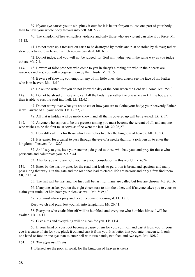39. If your eye causes you to sin, pluck it out; for it is better for you to lose one part of your body than to have your whole body thrown into hell. Mt. 5:29.

 40. The kingdom of heaven suffers violence and only those who are violent can take it by force. Mt. 11:12.

 41. Do not store up a treasure on earth to be destroyed by moths and rust or stolen by thieves; rather store up a treasure in heaven which no one can steal. Mt. 6:19.

 42. Do not judge, and you will not be judged; for God will judge you in the same way as you judge others. Mt. 7:1.

**147.** 43. Beware of false prophets who come to you in sheep's clothing but who in their hearts are ravenous wolves; you will recognise them by their fruits. Mt. 7:15.

 44. Beware of showing contempt for any of my little ones; their angels see the face of my Father who is in heaven. Mt.  $18:10$ .

45. Be on the watch, for you do not know the day or the hour when the Lord will come. Mt. 25:13.

**148.** 46. Do not be afraid of those who can kill the body; fear rather the one who can kill the body, and then is able to cast the soul into hell. Lk. 12:4,5.

 47. Do not worry over what you are to eat or how you are to clothe your body; your heavenly Father is well aware of all your needs. Lk. 12:22,30.

48. All that is hidden will be made known and all that is covered up will be revealed. Lk. 8:17.

**149.** 49. Anyone who aspires to be the greatest among you must become the servant of all, and anyone who wishes to be the first must serve as if he were the last. Mt. 20:26,27.

50. How difficult it is for those who have riches to enter the kingdom of heaven. Mk. 10:23.

 51. It is easier for a camel to pass through the eye of a needle than for a rich person to enter the kingdom of heaven. Lk. 18:25.

 52. And I say to you, love your enemies; do good to those who hate you, and pray for those who persecute and calumniate you. Mt. 5:44.

53. Alas for you who are rich; you have your consolation in this world. Lk. 6:24.

**150.** 54. Enter by the narrow gate, for the road that leads to perdition is broad and spacious and many pass along that way. But the gate and the road that lead to eternal life are narrow and only a few find them. Mt. 7:13,14.

55. The last will be first and the first will be last; for many are called but few are chosen. Mt. 20:16.

 56. If anyone strikes you on the right cheek turn to him the other, and if anyone takes you to court to claim your tunic, let him have your cloak as well. Mt. 5:39,40.

57. You must always pray and never become discouraged. Lk. 18:1.

Keep watch and pray, lest you fall into temptation. Mt. 26:41.

 58. Everyone who exalts himself will be humbled, and everyone who humbles himself will be exalted. Lk. 14:11.

59. Give alms and everything will be clean for you. Lk. 11:41.

 60. If your hand or your foot become a cause of sin for you, cut it off and cast it from you. If your eye is a cause of sin for you, pluck it out and cast it from you. It is better that you enter heaven with only one hand or foot or one eye than to enter hell with two hands, two feet, and two eyes. Mt. 18:8,9.

#### **151.** 61. *The eight beatitudes*

1. Blessed are the poor in spirit, for the kingdom of heaven is theirs.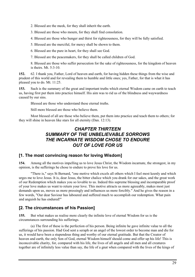2. Blessed are the meek, for they shall inherit the earth.

3. Blessed are those who mourn, for they shall find consolation.

4. Blessed are those who hunger and thirst for righteousness, for they will be fully satisfied.

5. Blessed are the merciful, for mercy shall be shown to them.

6. Blessed are the pure in heart, for they shall see God.

7. Blessed are the peacemakers, for they shall be called children of God.

8. Blessed are those who suffer persecution for the sake of righteousness, for the kingdom of heaven is theirs. Mt.  $5:3-10$ .

**152.** 62. I thank you, Father, Lord of heaven and earth, for having hidden these things from the wise and prudent of this world and for revealing them to humble and little ones; yes, Father, for that is what it has pleased you to do. Mt. 11:25.

**153.** Such is the summary of the great and important truths which eternal Wisdom came on earth to teach us, having first put them into practice himself. His aim was to rid us of the blindness and waywardness caused by our sins.

Blessed are those who understand these eternal truths.

Still more blessed are those who believe them.

 Most blessed of all are those who believe them, put them into practice and teach them to others; for they will shine in heaven like stars for all eternity (Dan. 12:13).

## *CHAPTER THIRTEEN SUMMARY OF THE UNBELIEVABLE SORROWS THE INCARNATE WISDOM CHOSE TO ENDURE OUT OF LOVE FOR US*

#### **[1. The most convincing reason for loving Wisdom]**

**154.** Among all the motives impelling us to love Jesus Christ, the Wisdom incarnate, the strongest, in my opinion, is the sufferings he chose to endure to prove his love for us.

 "There is," says St Bernard, "one motive which excels all others which I feel most keenly and which urges me to love Jesus. It is, dear Jesus, the bitter chalice which you drank for our sakes, and the great work of our Redemption which makes you so lovable to us. Indeed this supreme blessing and incomparable proof of your love makes us want to return your love. This motive attracts us more agreeably, makes most just demands upon us, moves us more pressingly and influences us more forcibly." And he gives the reason in a few words, "Our dear Saviour has laboured and suffered much to accomplish our redemption. What pain and anguish he has endured!"

#### **[2. The circumstances of his Passion]**

**155.** But what makes us realise more clearly the infinite love of eternal Wisdom for us is the circumstances surrounding his sufferings.

 (a) The first of these is the perfection of his person. Being infinite he gave infinite value to all the sufferings of his passion. Had God sent a seraph or an angel of the lowest order to become man and die for us, it would have been a stupendous thing and worthy of our eternal gratitude. But that the Creator of heaven and earth, the only Son of God, eternal Wisdom himself should come and offer up his life! This is inconceivable charity, for, compared with his life, the lives of all angels and all men and all creatures together are of infinitely less value than say, the life of a gnat when compared with the lives of the kings of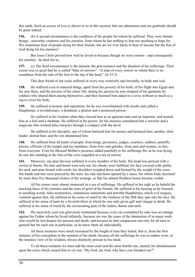this earth. Such an excess of love is shown to us in this mystery that our admiration and our gratitude should be great indeed.

**156.** (b) A second circumstance is the condition of the people for whom he suffered. They were human beings - unworthy creatures and his enemies, from whom he has nothing to fear nor anything to hope for. We sometimes hear of people dying for their friends; but are we ever likely to hear of anyone but the Son of God dying for his enemies?

 But Jesus Christ proved how well he loved us because though we were sinners - and consequently his enemies - he died for us.

**157.** (c) The third circumstance is the amount, the grievousness and the duration of his sufferings. Their extent was so great that he is called "Man of sorrows". "A man of every sorrow in whom there is no soundness from the sole of the foot to the top of the head." (Is 53.3)

This dear friend of our souls suffered in every way exteriorly and inwardly, in body and soul.

**158.** He suffered even in material things, apart from the poverty of his birth, of his flight into Egypt and his stay there, and the poverty of his entire life; during his passion he was stripped of his garments by soldiers who shared them among themselves, and then fastened him naked to a cross without as much as a rag to cover his body.

**159.** He suffered in honour and reputation, for he was overwhelmed with insults and called a blasphemer, a revolutionary, a drunkard, a glutton and a possessed person.

 He suffered in his wisdom when they classed him as an ignorant man and an impostor, and treated him as a fool and a madman. He suffered in his power, for his enemies considered him a sorcerer and a magician who worked false miracles through a compact with the devil.

 He suffered in his disciples, one of whom bartered him for money and betrayed him; another, their leader, denied him; and the rest abandoned him.

**160.** He suffered from all kinds of people; from kings, governors, judges, courtiers, soldiers, pontiffs, priests, officials of the temple and lay members; from Jews and gentiles, from men and women; in fact, from everyone. Even his Blessed Mother's presence added painfully to his sufferings for, as he was dying, he saw her standing at the foot of the cross engulfed in a sea of sorrow.

**161.** Moreover, our dear Saviour suffered in every member of his body. His head was pierced with a crown of thorns. His hair and beard were torn out; his cheeks were buffeted; his face covered with spittle; his neck and arms bound with cords; his shoulders weighed down and bruised by the weight of the cross. His hands and feet were pierced by the nails, his side and heart opened by a lance; his whole body lacerated by more then five thousand strokes of the scourge, so that his almost fleshless bones became visible.

 All his senses were almost immersed in a sea of sufferings. He suffered in his sight as he beheld the mocking faces of his enemies and the tears of grief of his friends. He suffered in his hearing as he listened to insulting words, false testimonies, calumnious statements and horrible blasphemies which evil tongues vomited against him. He suffered in his sense of smell by the foulness of the filth they spat into his face. He suffered in his sense of taste by a feverish thirst in which he was only given gall and vinegar to drink. He suffered in his sense of touch by the excruciating pain of the lashes, thorns and nails.

**162.** His most holy soul was grievously tormented because every sin committed by man was an outrage against his Father whom he loved infinitely; because sin was the cause of the damnation of so many souls who would be lost despite his passion and death; and because he had compassion not only for all men in general but for each one in particular, as he knew them all individually.

 All these torments were much increased by the length of time they lasted, that is, from the first instance of his conception to the moment of his death, because all the sufferings he was to endure were, in the timeless view of his wisdom, always distinctly present to his mind.

 To all these torments we must add the most cruel and the most fearful one, namely his abandonment upon the cross which caused him to cry out, "My God, my God, why have you forsaken me?"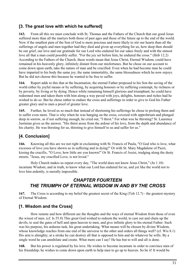#### **[3. The great love with which he suffered]**

**163.** From all this we must conclude with St. Thomas and the Fathers of the Church that our good Jesus suffered more than all the martyrs both those of past ages and those of the future up to the end of the world. Now if the smallest pain of the Son of God is more precious and more likely to stir our hearts than all the sufferings of angels and men together had they died and given up everything for us, how deep then should be our grief, our love and our gratitude for our Lord who endured for our sakes freely and with the utmost love all that a man could possibly suffer. "For the joy set before him, he endured the cross." (Heb 12.2) According to the Fathers of the Church, these words mean that Jesus Christ, Eternal Wisdom, could have remained in his heavenly glory, infinitely distant from our misfortunes. But he chose on our account to come down upon earth, take the nature of man and be crucified. Even when he had become man he could have imparted to his body the same joy, the same immortality, the same blessedness which he now enjoys. But he did not choose this because he wanted to be free to suffer.

**164.** Rupert adds to this that at the Incarnation, the eternal Father proposed to his Son the saving of the world either by joyful means or by suffering, by acquiring honours or by suffering contempt, by richness or by poverty, by living or by dying. Hence while remaining himself glorious and triumphant, he could have redeemed men and taken them with him along a way paved with joys, delights, honours and riches had he wished to do so. But he chose rather to endure the cross and sufferings in order to give to God his Father greater glory and to men a proof of greater love.

**165.** Further, he loved us so much that instead of shortening his sufferings he chose to prolong them and to suffer even more. That is why when he was hanging on the cross, covered with opprobrium and plunged deep in sorrow, as if not suffering enough, he cried out, "I thirst." For what was he thirsting? St. Laurence Justinian gives us the answer. "His thirst arose from the ardour of his love, from the depth and abundance of his charity. He was thirsting for us, thirsting to give himself to us and suffer for us."

## **[4. Conclusion]**

**166.** Knowing all this are we not right in exclaiming with St. Francis of Paula, "O God who is love, what excesses of love you have shown us in suffering and in dying!" Or with St. Mary Magdalene of Pazzi, kissing the crucifix, "O Love, how little are you known!" Or St. Francis of Assisi, trudging along the dusty streets, "Jesus, my crucified Love, is not loved."

 Holy Church makes us repeat every day, "The world does not know Jesus Christ," (Jn 1.10) incarnate Wisdom; and in truth, to know what our Lord has endured for us, and yet like the world not to love him ardently, is morally impossible.

#### *CHAPTER FOURTEEN THE TRIUMPH OF ETERNAL WISDOM IN AND BY THE CROSS*

**167.** The Cross is according to my belief the greatest secret of the King (Tob 12.7) - the greatest mystery of Eternal Wisdom.

## **[1. Wisdom and the Cross]**

 How remote and how different are the thoughts and the ways of eternal Wisdom from those of even the wisest of men. (cf. Is 55.8) This great God wished to redeem the world, to cast out and chain up the devils, to seal the gates of hell and open heaven to men, and give infinite glory to his eternal Father. Such was his purpose, his arduous task, his great undertaking. What means will be chosen by divine Wisdom, whose knowledge reaches from one end of the universe to the other and orders all things well? (cf. Wis 8.1) His arm is almighty; at a stroke he can destroy all that is opposed to him and do whatever he wills. By a single word he can annihilate and create. What more can I say? He has but to will and all is done.

**168.** But his power is regulated by his love. He wishes to become incarnate in order to convince men of his friendship; he wishes to come down upon earth to help men to go up to heaven. So be it! It would be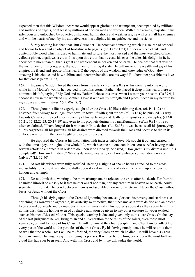expected then that this Wisdom incarnate would appear glorious and triumphant, accompanied by millions and millions of angels, or at least by millions of chosen men and women. With these armies, majestic in his splendour and untouched by poverty, dishonour, humiliations and weaknesses, he will crush all his enemies and win the hearts of men by his attractiveness, his delights, his magnificence and his riches.

 Surely nothing less than that. But O wonder! He perceives something which is a source of scandal and horror to Jews and an object of foolishness to pagans. (cf. 1 Cor 1.23) He sees a piece of vile and contemptible wood which is used to humiliate and torture the most wicked and the most wretched of men, called a gibbet, a gallows, a cross. It is upon this cross that he casts his eyes; he takes his delight in it; he cherishes it more than all that is great and resplendent in heaven and on earth. He decides that that will be the instrument of his conquests, the adornment of his royal state. He will make it the wealth and joy of his empire, the friend and spouse of his heart. O the depths of the wisdom and knowledge of God! How amazing is his choice and how sublime and incomprehensible are his ways! But how inexpressible his love for that cross! (Rom 11.33)

**169.** Incarnate Wisdom loved the cross from his infancy. (cf. Wis 8.2) At his coming into the world, while in his Mother's womb, he received it from his eternal Father. He placed it deep in his heart, there to dominate his life, saying, "My God and my Father, I chose this cross when I was in your bosom. (Ps 39.9) I choose it now in the womb of my Mother. I love it with all my strength and I place it deep in my heart to be my spouse and my mistress." (cf. Wis. 8.2)

**170.** Throughout his life he eagerly sought after the Cross. If, like a thirsting deer, (cf. Ps 41.2) he hastened from village to village, from town to town; if with giant strides (cf. Ps 18.6) he pursued his way towards Calvary; if he spoke so frequently of his sufferings and death to his apostles and disciples, (cf Mt 16.21; 17.12,22,23; 20.17-19) and even to his prophets during his Transfiguration; (cf Lk 9.31) if he so often exclaimed, "I have longed for it with an infinite desire" (Lk 22.15); it was because all his journeying, all his eagerness, all his pursuits, all his desires were directed towards the Cross and because to die in its embrace was for him the very height of glory and success.

 He espoused the Cross at his Incarnation with indescribable love. He sought it out and carried it with the utmost joy, throughout his whole life, which became but one continuous cross. After having made several efforts to embrace it in order to die upon it on Calvary, he asked, "How great is my distress until it is completed!" How am I hindered? What is delaying me? Why can I not embrace you yet, dear cross of Calvary? (Lk 12.50)

**171.** At last his wishes were fully satisfied. Bearing a stigma of shame he was attached to the cross, indissolubly joined to it, and died joyfully upon it as if in the arms of a dear friend and upon a couch of honour and triumph.

**172.** Do not think that, wanting to be more triumphant, he rejected the cross after his death. Far from it; he united himself so closely to it that neither angel nor man, nor any creature in heaven or on earth, could separate him from it. The bond between them is indissoluble, their union is eternal. Never the Cross without Jesus, or Jesus without the Cross.

 Through his dying upon it the Cross of ignominy became so glorious, its poverty and starkness so enriching, its sorrows so agreeable, its austerity so attractive, that it became as it were deified and an object to be adored by angels and by men. Jesus now requires that all his subjects adore it as they adore him. It is not his wish that the honour even of a relative adoration be given to any other creature however exalted, such as his most Blessed Mother. This special worship is due and given only to his dear Cross. On the day of the last judgement he will bring to an end all veneration to the relics of the saints, even those most venerable, but not to those of his Cross. He will command the chief Seraphim and Cherubim to collect from every part of the world all the particles of the true Cross. By his loving omnipotence he will re-unite them so well that the whole Cross will be re- formed, the very Cross on which he died. He will have his Cross borne in triumph by angels joyfully singing its praises. It will go before him, borne upon the most brilliant cloud that has ever been seen. And with this Cross and by it, he will judge the world.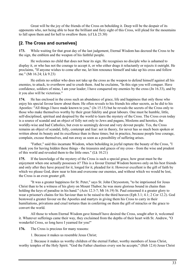Great will be the joy of the friends of the Cross on beholding it. Deep will be the despair of its opponents who, not being able to bear the brilliant and fiery sight of this Cross, will plead for the mountains to fall upon them and for hell to swallow them. (cf Lk 23.30)

#### **[2. The Cross and ourselves]**

**173.** While waiting for that great day of the last judgement, Eternal Wisdom has decreed the Cross to be the sign, the emblem and the weapon of his faithful people.

 He welcomes no child that does not bear its sign. He recognises no disciple who is ashamed to display it, or who has not the courage to accept it, or who either drags it reluctantly or rejects it outright. He proclaims, "If anyone wishes to come after me, let him renounce himself and take up his cross and follow me." (Mt 16.24; Lk 9.23)

 He enlists no soldier who does not take up the cross as the weapon to defend himself against all his enemies, to attack, to overthrow and to crush them. And he exclaims, "In this sign you will conquer. Have confidence, soldiers of mine, I am your leader; I have conquered my enemies by the cross (Jn 16.33), and by it you also will be victorious."

**174.** He has enclosed in the cross such an abundance of grace, life and happiness that only those who enjoy his special favour know about them. He often reveals to his friends his other secrets, as he did to his Apostles: "All things I have made known to you," (Jn 15.15) but he reveals the secrets of the Cross only to those who make themselves worthy by their great fidelity and great labours. One must be humble, little, self-disciplined, spiritual and despised by the world to learn the mystery of the Cross. The Cross even today is a source of scandal and an object of folly not only to Jews and pagans, Moslems and heretics, the worldly-wise and bad Catholics, but even to seemingly devout and very devout people. Yes, the Cross remains an object of scandal, folly, contempt and fear: not in theory, for never has so much been spoken or written about its beauty and its excellence than in these times; but in practice, because people lose courage, complain, excuse themselves, and run away as soon as a possibility of suffering arises.

 "Father," said this incarnate Wisdom, when beholding in joyful rapture the beauty of the Cross, "I thank you for having hidden these things - the treasures and graces of my cross - from the wise and prudent of this world and revealed them to the little ones." (Lk 10.21)

**175.** If the knowledge of the mystery of the Cross is such a special grace, how great must be the enjoyment when one actually possesses it? This is a favour Eternal Wisdom bestows only on his best friends and only after they have prayed for it, longed for it, pleaded for it. However excellent is the gift of faith by which we please God, draw near to him and overcome our enemies, and without which we would be lost, the Cross is an even greater gift.

 "It was a greater happiness for St. Peter," says St. John Chrysostom, "to be imprisoned for Jesus Christ than to be a witness of his glory on Mount Thabor; he was more glorious bound in chains than holding the keys of paradise in his hand." (Acts 12.3-7; Mt 16.19) St. Paul esteemed it a greater glory to wear a prisoner's chains for his Saviour than to be raised to the third heaven (Eph 3.1; 4.1; 2 Cor 12.2). God bestowed a greater favour on the Apostles and martyrs in giving them his Cross to carry in their humiliations, privations and cruel tortures than in conferring on them the gift of miracles or the grace to convert the world.

 All those to whom Eternal Wisdom gave himself have desired the Cross, sought after it, welcomed it. Whatever sufferings came their way, they exclaimed from the depths of their heart with St. Andrew, "O wonderful Cross, so long have I yearned for you!"

**176.** The Cross is precious for many reasons:

1. Because it makes us resemble Jesus Christ;

 2. Because it makes us worthy children of the eternal Father, worthy members of Jesus Christ, worthy temples of the Holy Spirit. "God the Father chastises every son he accepts;" (Heb 12.6) Jesus Christ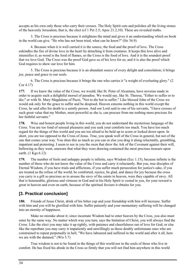accepts as his own only those who carry their crosses. The Holy Spirit cuts and polishes all the living stones of the heavenly Jerusalem, that is, the elect (cf 1 Pet 2.5; Apoc 21.2,10). These are revealed truths.

 3. The Cross is precious because it enlightens the mind and gives it an understanding which no book in the world can give. "He who has not been tried, what can he know?" (Sir 34.9)

 4. Because when it is well carried it is the source, the food and the proof of love. The Cross enkindles the fire of divine love in the heart by detaching it from creatures. It keeps this love alive and intensifies it; as wood is the food of flames, so the Cross is the food of love. And it is the soundest proof that we love God. The Cross was the proof God gave us of his love for us; and it is also the proof which God requires to show our love for him.

 5. The Cross is precious because it is an abundant source of every delight and consolation; it brings joy, peace and grace to our souls.

 6. The Cross is precious because it brings the one who carries it "a weight of everlasting glory." (2 Cor 4.17)

**177.** If we knew the value of the Cross, we would, like St. Peter of Alcantara, have novenas made in order to acquire such a delightful morsel of paradise. We would say, like St. Theresa, "Either to suffer or to die;" or with St. Mary Magdalene of Pazzi, "Not to die but to suffer." Like blessed John of the Cross we would ask only for the grace to suffer and be despised. Heaven esteems nothing in this world except the Cross, he said after his death to a saintly person. And our Lord said to one of his servants, "I have crosses of such great value that my Mother, most powerful as she is, can procure from me nothing more precious for her faithful servants."

**178.** Wise and honest people living in this world, you do not understand the mysterious language of the Cross. You are too fond of sensual pleasures and you seek your comforts too much. You have too much regard for the things of this world and you are too afraid to be held up to scorn or looked down upon. In short, you are too opposed to the Cross of Jesus. True, you speak well of the Cross in general, but not of the one that comes your way. You shun this as much as you can or else you drag it along reluctantly, grumbling, impatient and protesting. I seem to see in you the oxen that drew the Ark of the Covenant against their will, bellowing as they went, unaware that what they were drawing contained the most precious treasure upon earth. (1 Kgs 6.12)

**179.** The number of fools and unhappy people is infinite, says Wisdom (Ecc 1.15), because infinite is the number of those who do not know the value of the Cross and carry it reluctantly. But you, true disciples of Eternal Wisdom, if you have trials and afflictions, if you suffer much persecution for justice's sake, if you are treated as the refuse of the world, be comforted, rejoice, be glad, and dance for joy because the cross you carry is a gift so precious as to arouse the envy of the saints in heaven, were they capable of envy. All that is honourable, glorious and virtuous in God and in his Holy Spirit is vested in you, for your reward is great in heaven and even on earth, because of the spiritual favours it obtains for you.

#### **[3. Practical conclusion]**

**180.** Friends of Jesus Christ, drink of his bitter cup and your friendship with him will increase. Suffer with him and you will be glorified with him. Suffer patiently and your momentary suffering will be changed into an eternity of happiness.

 Make no mistake about it; since incarnate Wisdom had to enter heaven by the Cross, you also must enter by the same way. No matter which way you turn, says the Imitation of Christ, you will always find the Cross. Like the elect you may take it up rightly, with patience and cheerfulness out of love for God; or else like the reprobate you may carry it impatiently and unwillingly as those doubly unfortunate ones who are constrained to repeat perpetually in hell, "We have laboured and suffered in the world and after it all, here we are with the damned." (Wis 5.7)

 True wisdom is not to be found in the things of this world nor in the souls of those who live in comfort. He has fixed his abode in the Cross so firmly that you will not find him anywhere in this world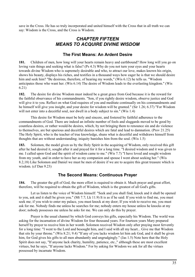save in the Cross. He has so truly incorporated and united himself with the Cross that in all truth we can say: Wisdom is the Cross, and the Cross is Wisdom.

## *CHAPTER FIFTEEN MEANS TO ACQUIRE DIVINE WISDOM*

#### **The First Means: An Ardent Desire**

**181.** Children of men, how long will your hearts remain heavy and earthbound? How long will you go on loving vain things and seeking what is false? (Ps 4.3) Why do you not turn your eyes and your hearts towards divine Wisdom who is supremely desirable and who, to attract our love, makes known his origin, shows his beauty, displays his riches, and testifies in a thousand ways how eager he is that we should desire him and seek him? "Be desirous, therefore, of hearing my words," (Wis 6.12) he tells us. "Wisdom anticipates those who want her. (Wis 6.14) The desire of Wisdom leads to the everlasting kingdom." (Wis 6.21)

**182.** The desire for divine Wisdom must indeed be a great grace from God because it is the reward for the faithful observance of his commandments. "Son, if you rightly desire wisdom, observe justice and God will give it to you. Reflect on what God requires of you and meditate continually on his commandments and he himself will give you insight, and your desire for wisdom will be granted." (Sir 1.26; 6.37) "For Wisdom will not enter into a deceitful soul, nor dwell in a body subject to sin." (Wis 1.4)

 This desire for Wisdom must be holy and sincere, and fostered by faithful adherence to the commandments of God. There are indeed an infinite number of fools and sluggards moved to be good by countless desires, or rather would-be desires, which, by not bringing them to renounce sin and do violence to themselves, are but spurious and deceitful desires which are fatal and lead to damnation. (Prov 21.25) The Holy Spirit, who is the teacher of true knowledge, shuns what is deceitful and withdraws himself from thoughts that are without understanding; iniquity banishes him from the soul. (Wis 1.5)

**183.** Solomon, the model given us by the Holy Spirit in the acquiring of Wisdom, only received this gift after he had desired it, sought after it and prayed for it for a long time. "I desired wisdom and it was given to me. I called upon God and the spirit of wisdom came to me." (Wis 7.7) "I have loved and sought wisdom from my youth, and in order to have her as my companion and spouse I went about seeking her." (Wis 8.2,18) Like Solomon and Daniel we must be men of desire if we are to acquire this great treasure which is wisdom. (cf Dan 9.23)

#### **The Second Means: Continuous Prayer**

**184.** The greater the gift of God, the more effort is required to obtain it. Much prayer and great effort, therefore, will be required to obtain the gift of Wisdom, which is the greatest of all God's gifts.

 Let us listen to the voice of Wisdom himself: "Seek and you shall find, knock and it shall be opened to you, ask and it shall be given you." (Mt 7.7; Lk 11.9) It is as if he said: If you wish to find me, you must seek me; if you wish to enter my palace, you must knock at my door; If you wish to receive me, you must ask for me. Nobody finds me unless he searches for me; nobody enters my house unless he knocks at my door; nobody possesses me unless he asks for me. We can only do this by prayer.

 Prayer is the usual channel by which God conveys his gifts, especially his Wisdom. The world was asking for the incarnation of divine Wisdom for four thousand years. For fourteen years Mary prepared herself by prayer to receive him in her womb. Solomon received Wisdom only after praying most fervently for a long time: "I went to the Lord and besought him, and I said with all my heart... Give me that Wisdom that sits by your throne." (Wis 8.21; 9.4) "If any of you lacks wisdom let him ask God, and it shall be given him, for God gives his gifts to all men abundantly and ungrudgingly." (Jas 1.5) Note here that the Holy Spirit does not say, "If anyone lack charity, humility, patience, etc.," although these are most excellent virtues, but he says, "If anyone lacks Wisdom." For by asking for Wisdom we ask for all the virtues possessed by incarnate Wisdom.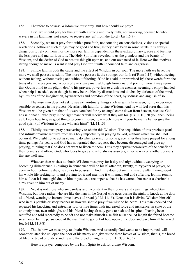**185.** Therefore to possess Wisdom we must pray. But how should we pray?

 First, we should pray for this gift with a strong and lively faith, not wavering, because he who wavers in his faith must not expect to receive any gift from the Lord. (Jas 1.6,7)

**186.** Secondly, we must pray for it with a pure faith, not counting on consolations, visions or special revelations. Although such things may be good and true, as they have been in some saints, it is always dangerous to rely on them. For the more our faith is dependent on these extraordinary graces and feelings, the less pure and meritorious it is. The Holy Spirit has revealed to us the grandeur and the beauty of Wisdom, and the desire of God to bestow this gift upon us, and our own need of it. Here we find motives strong enough to make us want it and pray God for it with unbounded faith and eagerness.

**187.** Simple faith is both the cause and the effect of Wisdom in our soul. The more faith we have, the more we shall possess wisdom. The more we possess it, the stronger our faith (cf Rom 1.17) without seeing, without feeling, without tasting and without faltering. "God has said it or promised it;" these words form the basis of all the prayers and actions of every wise man, although from a natural point of view it may seem that God is blind to his plight, deaf to his prayers, powerless to crush his enemies, seemingly empty-handed when help is needed, even though he may be troubled by distractions and doubts, by darkness of the mind, by illusions of the imagination, by weariness and boredom of the heart, by sadness and anguish of soul.

 The wise man does not ask to see extraordinary things such as saints have seen, nor to experience sensible sweetness in his prayers. He asks with faith for divine Wisdom. And he will feel surer that this Wisdom will be given him than if it were vouched for by an angel come down from heaven, because God has said that all who pray in the right manner will receive what they ask for. (Lk 11.10) "If you, then, being evil, know how to give good things to your children, how much more will your heavenly Father give the good spirit (of Wisdom) to those who ask him?" (Lk 11.13)

**188.** Thirdly, we must pray perseveringly to obtain this Wisdom. The acquisition of this precious pearl and infinite treasure requires from us a holy importunity in praying to God, without which we shall not obtain it. We ought not to act as so many do when praying for some grace: after they have prayed for a long time, perhaps for years, and God has not granted their request, they become discouraged and give up praying, thinking that God does not want to listen to them. Thus they deprive themselves of the benefit of their prayers and offend God, who loves to give and who always answers, in some way or another, prayers that are well said.

 Whoever then wishes to obtain Wisdom must pray for it day and night without wearying or becoming disheartened. Blessings in abundance will be his if, after ten, twenty, thirty years of prayer, or even an hour before he dies, he comes to possess it. And if he does obtain this treasure after having spent his whole life seeking for it and praying for it and meriting it with much toil and suffering, let him remind himself that it is not a gift due to him in justice, a recompense that he has earned, but rather a charitable alms given to him out of mercy.

**189.** No, it is not those who are careless and inconstant in their prayers and searchings who obtain Wisdom, but those rather who are like the man in the Gospel who goes during the night to knock at the door of a friend, wanting to borrow three loaves of bread (cf Lk 11.15). Note that it is divine Wisdom himself who in this parable or story teaches us how we should pray if we wish to be heard. This man knocked and repeated his knocking and entreaties four or five times with increased force and insistence, in spite of the untimely hour, near midnight, and his friend having already gone to bed; and in spite of having been rebuffed and told repeatedly to be off and not make himself a selfish nuisance. At length the friend became so annoyed by the persistence of the man that he got out of bed, opened the door and gave him all he asked for. (cf Lk 11.5-8)

**190.** That is how we must pray to obtain Wisdom. And assuredly God wants to be importuned, will sooner or later rise up, open the door of his mercy and give us the three loaves of Wisdom, that is, the bread of life, the bread of understanding and the bread of angels. (cf Sir 15.3; Jn 6.35)

Here is a prayer composed by the Holy Spirit to ask for divine Wisdom: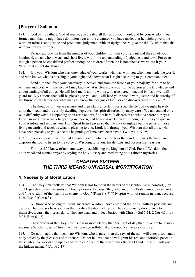## **[Prayer of Solomon]**

**191.** God of my fathers, God of mercy, you created all things by your word, and by your wisdom you formed man that he might have dominion over all the creatures you have made; that he might govern the world in fairness and justice and pronounce judgement with an upright heart; give me this Wisdom that sits with you on your throne.

 Do not exclude me from the number of your children for I am your servant and the son of your handmaid, a man who is weak and short-lived, with little understanding of judgement and laws. For even though a person be considered perfect among the children of men, he is nonetheless worthless if your Wisdom does not dwell in him.

**192.** It is your Wisdom who has knowledge of your works, who was with you when you made the world, and who knows what is pleasing in your sight and shows what is right according to your commandments.

 Send him then from your sanctuary in heaven and from the throne of your majesty, for him to be with me and work with me so that I may know what is pleasing to you; for he possesses the knowledge and understanding of all things. He will lead me in all my works with true perception, and by his power will guard me. My actions then will be pleasing to you and I will lead your people with justice and be worthy of the throne of my father; for what man can know the designs of God, or can discover what is his will?

 The thoughts of men are unsure and their plans uncertain, for a perishable body weighs heavily upon their soul, and the earthly dwelling depresses the spirit disturbed by many cares. We understand only with difficulty what is happening upon earth and we find it hard to discern even what is before our eyes. How can we know what is happening in heaven, and how can we know your thoughts unless you give us your Wisdom and send us your Holy Spirit from heaven so that he may straighten out the paths of those living on earth and teach us what is pleasing to you. Lord, it is through your Wisdom that all those who have been pleasing to you since the beginning of time have been saved. (Wis 9.1-6, 9-19)

**193.** To vocal prayer we must add mental prayer, which enlightens the mind, inflames the heart and disposes the soul to listen to the voice of Wisdom, to savour his delights and possess his treasures.

 For myself, I know of no better way of establishing the kingdom of God, Eternal Wisdom, than to unite vocal and mental prayer by saying the holy Rosary and meditating on its fifteen mysteries.

## *CHAPTER SIXTEEN THE THIRD MEANS: UNIVERSAL MORTIFICATION*

#### **1. Necessity of Mortification**

**194.** The Holy Spirit tells us that Wisdom is not found in the hearts of those who live in comfort, (Job 28.13) gratifying their passions and bodily desires, because "they who are of the flesh cannot please God," and "the wisdom of the flesh is an enemy to God." (Rom 8.8,7) "My spirit will not remain in man, because he is flesh." (Gen 6.3)

 All those who belong to Christ, incarnate Wisdom, have crucified their flesh with its passions and desires. They always bear about in their bodies the dying of Jesus. They continually do violence to themselves, carry their cross daily. They are dead and indeed buried with Christ. (Gal 5.24; 2 Cor 4.10; Lk 9.23; Rom 6.4,8)

 These words of the Holy Spirit show us more clearly than the light of day that, if we are to possess incarnate Wisdom, Jesus Christ, we must practice self-denial and renounce the world and self.

**195.** Do not imagine that incarnate Wisdom, who is purer than the rays of the sun, will enter a soul and a body soiled by the pleasures of the senses. Do not believe that he will grant his rest and ineffable peace to those who love worldly company and vanities. "To him that overcomes the world and himself, I will give the hidden manna." (Apoc 2.17)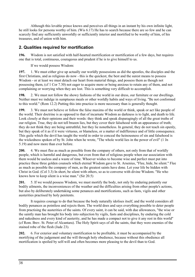Although this lovable prince knows and perceives all things in an instant by his own infinite light, he still looks for persona worthy of him. (Wis 6.17) He has to search because there are so few and he can scarcely find any sufficiently unworldly or sufficiently interior and mortified to be worthy of him, of his treasures, and of union with him.

#### **2. Qualities required for mortification**

**196.** Wisdom is not satisfied with half-hearted mortification or mortification of a few days, but requires one that is total, continuous, courageous and prudent if he is to give himself to us.

If we would possess Wisdom:

**197.** 1. We must either give up actually our worldly possessions as did the apostles, the disciples and the first Christians, and as religious do now - this is the quickest, the best and the surest means to possess Wisdom - or at least we must detach our heart from material things, and possess them as though not possessing them, (cf 1 Cor 7.30) not eager to acquire more or being anxious to retain any of them, and not complaining or worrying when they are lost. This is something very difficult to accomplish.

**198.** 2. We must not follow the showy fashions of the world in our dress, our furniture or our dwellings. Neither must we indulge in sumptuous meals or other worldly habits and ways of living. "Be not conformed to this world." (Rom 12.2) Putting this into practice is more necessary than is generally thought.

**199.** 3. We must not believe or follow the false maxims of the world or think, speak or act like people of the world. Their doctrine is as opposed to that of incarnate Wisdom as darkness is to light, and death to life. Look closely at their opinions and their words: they think and speak disparagingly of all the great truths of our religion. True, they do not tell brazen lies, but they cover their falsehood with an appearance of truth; they do not think they are being untruthful, but they lie nonetheless. In general, they do not teach sin openly, but they speak of it as if it were virtuous, or blameless, or a matter of indifference and of little consequence. This guile which the devil has taught the world in order to conceal the heinousness of sin and falsehood is the wickedness spoken of by St. John when he wrote, "The whole world lies in the power of evil" (1 Jn 5.19) and now more than ever before.

**200.** 4. We must flee as much as possible from the company of others, not only from that of worldly people, which is harmful and dangerous, but even from that of religious people when our association with them would be useless and a waste of time. Whoever wishes to become wise and perfect must put into practice these three golden counsels which eternal Wisdom gave to St. Arsenius, "Flee, hide, be silent." Flee as much as possible the company of men, as the greatest saints have done. Let your life be hidden with Christ in God. (Col 3.3) In short, be silent with others, so as to converse with divine Wisdom. "He who knows how to keep silent is a wise man." (Sir 20.5)

**201.** 5. If we would possess Wisdom, we must mortify the body, not only by enduring patiently our bodily ailments, the inconveniences of the weather and the difficulties arising from other people's actions, but also by deliberately undertaking some penances and mortifications, such as fasts, vigils and other austerities practised by holy penitents.

 It requires courage to do that because the body naturally idolises itself, and the world considers all bodily penances as pointless and rejects them. The world does and says everything possible to deter people from practising the austerities of the saints. Of every saint, it can be said, with due allowances, "the wise or the saintly man has brought his body into subjection by vigils, fasts and disciplines, by enduring the cold and nakedness and every kind of austerity, and he has made a compact not to give it any rest in this world" (cf Rom. Brev. St. Peter of Alcantara). The Holy Spirit says of all the saints, that they were enemies of the stained robe of the flesh (Jude 23).

**202.** 6. For exterior and voluntary mortification to be profitable, it must be accompanied by the mortifying of the judgement and the will through holy obedience, because without this obedience all mortification is spoiled by self-will and often becomes more pleasing to the devil than to God.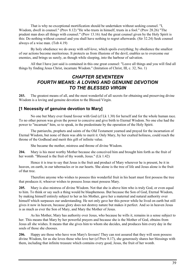That is why no exceptional mortification should be undertaken without seeking counsel. "I, Wisdom, dwell in counsel." (Prov 8.12) "He who trusts in himself, trusts in a fool." (Prov 28.26) "The prudent man does all things with counsel." (Prov 13.16) And the great counsel given by the Holy Spirit is this: Do nothing without counsel and you shall have nothing to regret afterwards. (Sir 32.24) Seek counsel always of a wise man. (Tob 4.19)

 By holy obedience we do away with self-love, which spoils everything; by obedience the smallest of our actions become meritorious. It protects us from illusions of the devil, enables us to overcome our enemies, and brings us surely, as though while sleeping, into the harbour of salvation.

 All that I have just said is contained in this one great counsel: "Leave all things and you will find all things by finding Jesus Christ, incarnate Wisdom." (Imitation of Christ, III, c. 32, No. 1)

## *CHAPTER SEVENTEEN FOURTH MEANS: A LOVING AND GENUINE DEVOTION TO THE BLESSED VIRGIN*

**203.** The greatest means of all, and the most wonderful of all secrets for obtaining and preserving divine Wisdom is a loving and genuine devotion to the Blessed Virgin.

#### **[1 Necessity of genuine devotion to Mary]**

 No one but Mary ever found favour with God (cf Lk 1.30) for herself and for the whole human race. To no other person was given the power to conceive and give birth to Eternal Wisdom. No one else had the power to "incarnate" him, so to speak, in the predestinate by the operation of the Holy Spirit.

 The patriarchs, prophets and saints of the Old Testament yearned and prayed for the incarnation of Eternal Wisdom, but none of them was able to merit it. Only Mary, by her exalted holiness, could reach the throne of the Godhead and merit this gift of infinite value.

She became the mother, mistress and throne of divine Wisdom.

**204.** Mary is his most worthy Mother because she conceived him and brought him forth as the fruit of her womb. "Blessed is the fruit of thy womb, Jesus." (Lk 1.42)

 Hence it is true to say that Jesus is the fruit and product of Mary wherever he is present, be it in heaven, on earth, in our tabernacles or in our hearts. She alone is the tree of life and Jesus alone is the fruit of that tree.

 Therefore anyone who wishes to possess this wonderful fruit in his heart must first possess the tree that produces it; whoever wishes to possess Jesus must possess Mary.

**205.** Mary is also mistress of divine Wisdom. Not that she is above him who is truly God, or even equal to him. To think or say such a thing would be blasphemous. But because the Son of God, Eternal Wisdom, by making himself entirely subject to her as his Mother, gave her a maternal and natural authority over himself which surpasses our understanding. He not only gave her this power while he lived on earth but still gives it now in heaven, because glory does not destroy nature but makes it perfect. And so in heaven Jesus is as much as ever the Son of Mary, and Mary the Mother of Jesus.

 As his Mother, Mary has authority over Jesus, who because he wills it, remains in a sense subject to her. This means that Mary by her powerful prayers and because she is the Mother of God, obtains from Jesus all she wishes. It means that she gives him to whom she decides, and produces him every day in the souls of those she chooses.

**206.** Happy are those who have won Mary's favours! They can rest assured that they will soon possess divine Wisdom, for as she loves those who love her (cf Prov 8.17), she generously shares her blessings with them, including that infinite treasure which contains every good, Jesus, the fruit of her womb.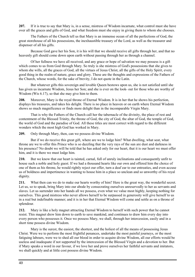**207.** If it is true to say that Mary is, in a sense, mistress of Wisdom incarnate, what control must she have over all the graces and gifts of God, and what freedom must she enjoy in giving them to whom she chooses.

 The Fathers of the Church tell us that Mary is an immense ocean of all the perfections of God, the great storehouse of all his possessions, the inexhaustible treasury of the Lord, as well as the treasurer and dispenser of all his gifts.

 Because God gave her his Son, it is his will that we should receive all gifts through her, and that no heavenly gift should come down upon earth without passing through her as through a channel.

 Of her fullness we have all received, and any grace or hope of salvation we may possess is a gift which comes to us from God through Mary. So truly is she mistress of God's possessions that she gives to whom she wills, all the graces of God, all the virtues of Jesus Christ, all the gifts of the Holy Spirit, every good thing in the realm of nature, grace and glory. These are the thoughts and expressions of the Fathers of the Church, whose words, for the sake of brevity, I do not quote in the Latin.

 But whatever gifts this sovereign and lovable Queen bestows upon us, she is not satisfied until she has given us incarnate Wisdom, Jesus her Son; and she is ever on the look- out for those who are worthy of Wisdom (Wis 6.17), so that she may give him to them.

**208.** Moreover, Mary is the royal throne of Eternal Wisdom. It is in her that he shows his perfection, displays his treasures, and takes his delight. There is no place in heaven or on earth where Eternal Wisdom shows so much magnificence or finds more delight than in the incomparable Virgin Mary.

 That is why the Fathers of the Church call her the tabernacle of the divinity, the place of rest and contentment of the Blessed Trinity, the throne of God, the city of God, the altar of God, the temple of God, the world of God and the paradise of God. All these titles are most correct with regard to the different wonders which the most high God has worked in Mary.

**209.** Only through Mary, then, can we possess divine Wisdom.

 But if we do receive this great gift, where are we to lodge him? What dwelling, what seat, what throne are we to offer this Prince who is so dazzling that the very rays of the sun are dust and darkness in his presence? No doubt we will be told that he has asked only for our heart, that it is our heart we must offer him, and it is there we must lodge him.

**210.** But we know that our heart is tainted, carnal, full of unruly inclinations and consequently unfit to house such a noble and holy guest. If we had a thousand hearts like our own and offered him the choice of one of them as his throne, he would rightly reject our offer, turn a deaf ear to our entreaties, and even accuse us of boldness and impertinence in wanting to house him in a place so unclean and so unworthy of his royal dignity.

**211.** What then can we do to make our hearts worthy of him? Here is the great way, the wonderful secret. Let us, so to speak, bring Mary into our abode by consecrating ourselves unreservedly to her as servants and slaves. Let us surrender into her hands all we possess, even what we value most highly, keeping nothing for ourselves. This good mistress who never allows herself to be surpassed in generosity will give herself to us in a real but indefinable manner; and it is in her that Eternal Wisdom will come and settle as on a throne of splendour.

**212.** Mary is like a holy magnet attracting Eternal Wisdom to herself with such power that he cannot resist. This magnet drew him down to earth to save mankind, and continues to draw him every day into every person who possesses it. Once we possess Mary, we shall, through her intercession, easily and in a short time possess divine Wisdom.

 Mary is the surest, the easiest, the shortest, and the holiest of all the means of possessing Jesus Christ. Were we to perform the most frightful penances, undertake the most painful journeys, or the most fatiguing labours, were we to shed all our blood in order to acquire divine Wisdom, all our efforts would be useless and inadequate if not supported by the intercession of the Blessed Virgin and a devotion to her. But if Mary speaks a word in our favour, if we love her and prove ourselves her faithful servants and imitators, we shall quickly and at little cost possess divine Wisdom.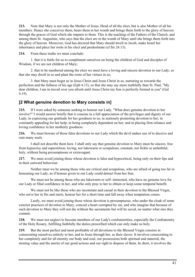**213.** Note that Mary is not only the Mother of Jesus, Head of all the elect, but is also Mother of all his members. Hence she conceives them, bears them in her womb and brings them forth to the glory of heaven through the graces of God which she imparts to them. This is the teaching of the Fathers of the Church, and among them St. Augustine, who says that the elect are in the womb of Mary until she brings them forth into the glory of heaven. Moreover, God has decreed that Mary should dwell in Jacob, make Israel her inheritance and place her roots in his elect and predestinate (cf Sir 24.13).

**214.** From these truths we must conclude:

 1. that it is futile for us to compliment ourselves on being the children of God and disciples of Wisdom, if we are not children of Mary;

 2. that to be numbered among the elect we must have a loving and sincere devotion to our Lady, so that she may dwell in us and plant the roots of her virtues in us;

 3. that Mary must beget us in Jesus Christ and Jesus Christ in us, nurturing us towards the perfection and the fullness of his age (Eph 4.13), so that she may say more truthfully than St. Paul, "My dear children, I am in travail over you afresh until Jesus Christ my Son is perfectly formed in you" (Gal 4.19).

## **[2 What genuine devotion to Mary consists in]**

**215.** If I were asked by someone seeking to honour our Lady, "What does genuine devotion to her involve?" I would answer briefly that it consists in a full appreciation of the privileges and dignity of our Lady; in expressing our gratitude for her goodness to us; in zealously promoting devotion to her; in constantly appealing for her help; in being completely dependent on her; and in placing firm reliance and loving confidence in her motherly goodness.

**216.** We must beware of those false devotions to our Lady which the devil makes use of to deceive and ruin many souls.

 I shall not describe them here. I shall only say that genuine devotion to Mary must be sincere, free from hypocrisy and superstition; loving, not lukewarm or scrupulous; constant, not fickle or unfaithful; holy, without being presumptuous or extravagant.

**217.** We must avoid joining those whose devotion is false and hypocritical, being only on their lips and in their outward behaviour.

 Neither must we be among those who are critical and scrupulous, who are afraid of going too far in honouring our Lady, as if honour given to our Lady could detract from her Son.

We must not be among those who are lukewarm or self-interested, who have no genuine love for our Lady or filial confidence in her, and who only pray to her to obtain or keep some temporal benefit.

We must not be like those who are inconstant and casual in their devotion to the Blessed Virgin, who serve her in fits and starts, honour her for a short time and fall away when temptation comes.

 Lastly, we must avoid joining those whose devotion is presumptuous, who under the cloak of some exterior practices of devotion to Mary, conceal a heart corrupted by sin, and who imagine that because of such devotion to Mary they will not die without the sacraments but will be saved, no matter what sins they commit.

**218.** We must not neglect to become members of our Lady's confraternities, especially the Confraternity of the Holy Rosary, fulfilling faithfully the duties prescribed which can only make us holy.

**219.** But the most perfect and most profitable of all devotions to the Blessed Virgin consists in consecrating ourselves entirely to her, and to Jesus through her, as their slaves. It involves consecrating to her completely and for all eternity our body and soul, our possessions both spiritual and material, the atoning value and the merits of our good actions and our right to dispose of them. In short, it involves the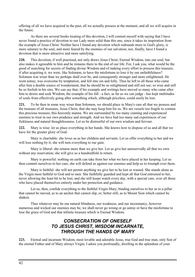offering of all we have acquired in the past, all we actually possess at the moment, and all we will acquire in the future.

 As there are several books treating of this devotion, I will content myself with saying that I have never found a practice of devotion to our Lady more solid than this one, since it takes its inspiration from the example of Jesus Christ. Neither have I found any devotion which redounds more to God's glory, is more salutary to the soul, and more feared by the enemies of our salvation; nor, finally, have I found a devotion that is more attractive and more satisfying.

**220.** This devotion, if well practised, not only draws Jesus Christ, Eternal Wisdom, into our soul, but also makes it agreeable to him and he remains there to the end of our life. For, I ask you, what would be the good of searching for secrets of finding divine Wisdom and of making every effort to possess this treasure, if after acquiring it, we were, like Solomon, to have the misfortune to lose it by our unfaithfulness? Solomon was wiser than we perhaps shall ever be, and consequently stronger and more enlightened. He went astray, was overcome by temptation, and fell into sin and folly. Thus he left to all those who came after him a double source of wonderment, that he should be so enlightened and still not see; so wise and still be so foolish in his sins. We can say that, if his example and writings have moved so many who came after him to desire and seek Wisdom, the example of his fall - a fact, as far as we can judge - has kept multitudes of souls from effectively going after something which, although priceless, could easily be lost.

**221.** To be then in some way wiser than Solomon, we should place in Mary's care all that we possess and the treasure of all treasures, Jesus Christ, that she may keep him for us. We are vessels too fragile to contain this precious treasure, this heavenly manna. We are surrounded by too many cunning and experienced enemies to trust in our own prudence and strength. And we have had too many sad experiences of our fickleness and natural thoughtlessness. Let us be distrustful of our own wisdom and fervour.

**222.** Mary is wise: let us place everything in her hands. She knows how to dispose of us and all that we have for the greater glory of God.

 Mary is charitable: she loves us as her children and servants. Let us offer everything to her and we will lose nothing by it; she will turn everything to our gain.

 Mary is liberal: she returns more than we give her. Let us give her unreservedly all that we own without any reservation; she will give us a hundredfold in return.

 Mary is powerful: nothing on earth can take from her what we have placed in her keeping. Let us then commit ourselves to her care; she will defend us against our enemies and help us to triumph over them.

 Mary is faithful: she will not permit anything we give her to be lost or wasted. She stands alone as the Virgin most faithful to God and to men. She faithfully guarded and kept all that God entrusted to her, never allowing the least bit to be lost; and she still keeps watch every day, with a special care, over all those who have placed themselves entirely under her protection and guidance.

 Let us, then, confide everything to the faithful Virgin Mary, binding ourselves to her as to a pillar that cannot be moved, as to an anchor that cannot slip, or, better still, as to Mount Sion which cannot be shaken.

 Thus whatever may be our natural blindness, our weakness, and our inconstancy, however numerous and wicked our enemies may be, we shall never go wrong or go astray or have the misfortune to lose the grace of God and that infinite treasure which is Eternal Wisdom.

## *CONSECRATION OF ONESELF TO JESUS CHRIST, WISDOM INCARNATE, THROUGH THE HANDS OF MARY*

**223.** Eternal and incarnate Wisdom, most lovable and adorable Jesus, true God and true man, only Son of the eternal Father and of Mary always Virgin, I adore you profoundly, dwelling in the splendour of your